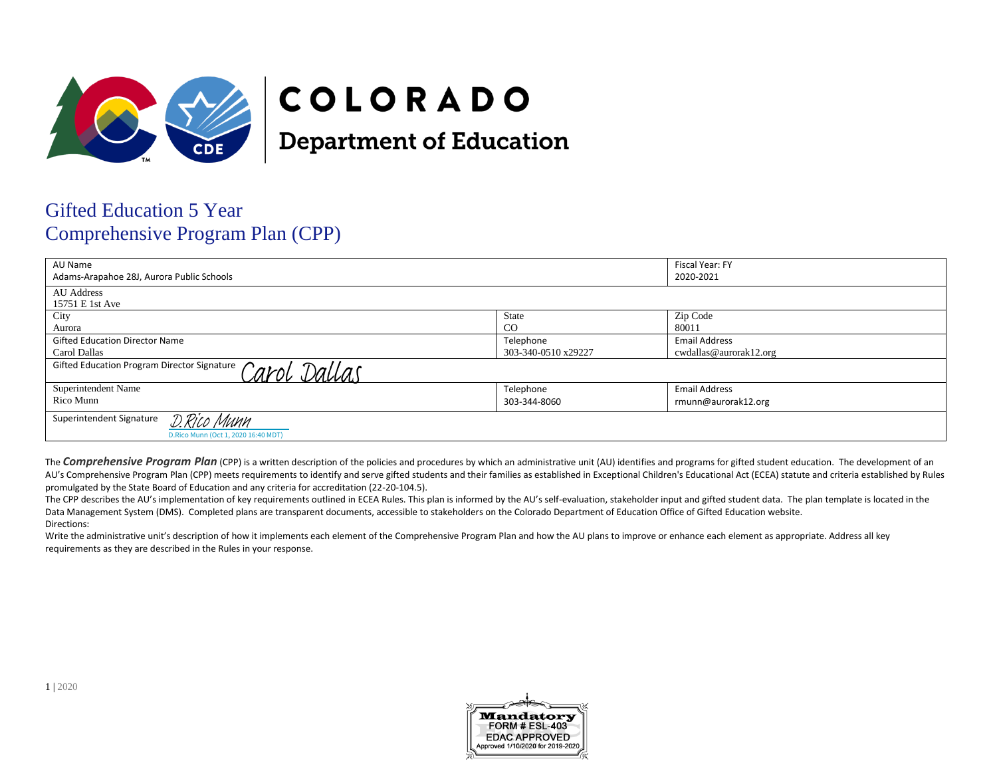

# COLORADO

**Department of Education** 

# Gifted Education 5 Year Comprehensive Program Plan (CPP)

| AU Name<br>Adams-Arapahoe 28J, Aurora Public Schools                           |                     | Fiscal Year: FY<br>2020-2021 |  |
|--------------------------------------------------------------------------------|---------------------|------------------------------|--|
| <b>AU</b> Address<br>15751 E 1st Ave                                           |                     |                              |  |
| City                                                                           | State               | Zip Code                     |  |
| Aurora                                                                         | <sub>CO</sub>       | 80011                        |  |
| <b>Gifted Education Director Name</b>                                          | Telephone           | <b>Email Address</b>         |  |
| Carol Dallas                                                                   | 303-340-0510 x29227 | cwdallas@aurorak12.org       |  |
| Gifted Education Program Director Signature Carol Dallas                       |                     |                              |  |
| Superintendent Name                                                            | Telephone           | <b>Email Address</b>         |  |
| Rico Munn                                                                      | 303-344-8060        | rmunn@aurorak12.org          |  |
| Superintendent Signature<br>D.Rico Munn<br>D.Rico Munn (Oct 1, 2020 16:40 MDT) |                     |                              |  |

The **Comprehensive Program Plan** (CPP) is a written description of the policies and procedures by which an administrative unit (AU) identifies and programs for gifted student education. The development of an AU's Comprehensive Program Plan (CPP) meets requirements to identify and serve gifted students and their families as established in Exceptional Children's Educational Act (ECEA) statute and criteria established by Rules promulgated by the State Board of Education and any criteria for accreditation (22-20-104.5).

The CPP describes the AU's implementation of key requirements outlined in ECEA Rules. This plan is informed by the AU's self-evaluation, stakeholder input and gifted student data. The plan template is located in the Data Management System (DMS). Completed plans are transparent documents, accessible to stakeholders on the Colorado Department of Education Office of Gifted Education website. Directions:

Write the administrative unit's description of how it implements each element of the Comprehensive Program Plan and how the AU plans to improve or enhance each element as appropriate. Address all key requirements as they are described in the Rules in your response.

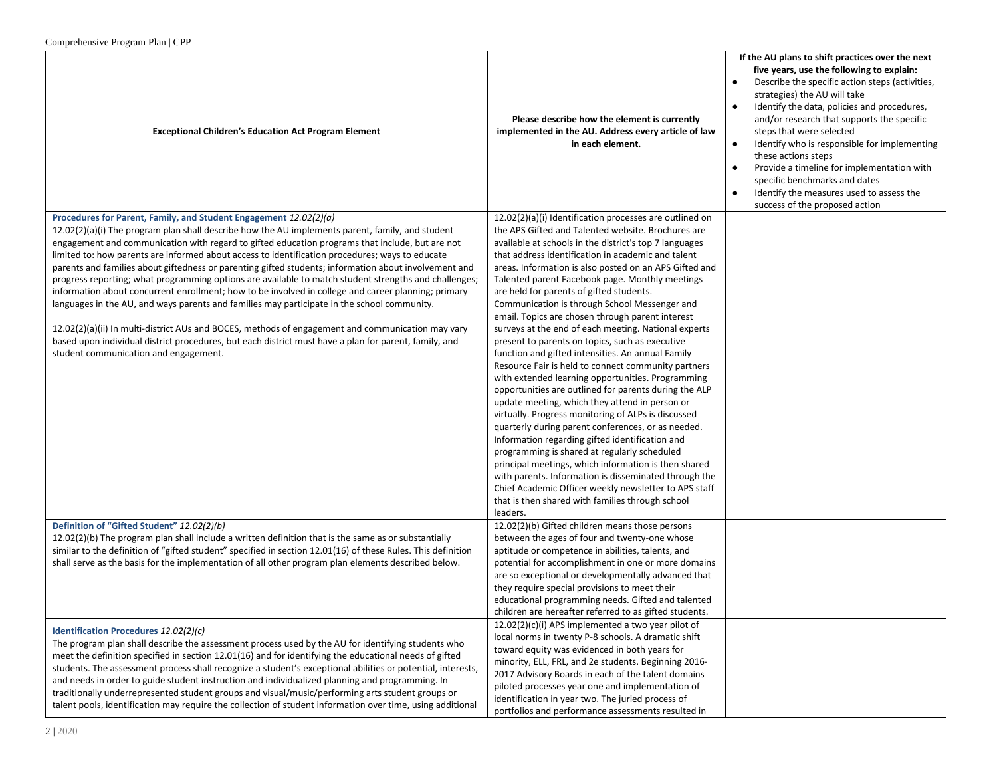| $\epsilon$ comprendition $\epsilon$ is a region of the state $\epsilon$ is a region of $\epsilon$                                                                                                                                                                                                                                                                                                                                                                                                                                                                                                                                                                                                                                                                                                                                                                                                                                                                                                                                                          |                                                                                                                                                                                                                                                                                                                                                                                                                                                                                                                                                                                                                                                                                                                                                                                                                                                                                                                                                                                                                                                                                                                                                                                                                                                                                                                                              |                                                                                                                                                                                                                                                                                                                                                                                                                                                                                                                                                                                                                |
|------------------------------------------------------------------------------------------------------------------------------------------------------------------------------------------------------------------------------------------------------------------------------------------------------------------------------------------------------------------------------------------------------------------------------------------------------------------------------------------------------------------------------------------------------------------------------------------------------------------------------------------------------------------------------------------------------------------------------------------------------------------------------------------------------------------------------------------------------------------------------------------------------------------------------------------------------------------------------------------------------------------------------------------------------------|----------------------------------------------------------------------------------------------------------------------------------------------------------------------------------------------------------------------------------------------------------------------------------------------------------------------------------------------------------------------------------------------------------------------------------------------------------------------------------------------------------------------------------------------------------------------------------------------------------------------------------------------------------------------------------------------------------------------------------------------------------------------------------------------------------------------------------------------------------------------------------------------------------------------------------------------------------------------------------------------------------------------------------------------------------------------------------------------------------------------------------------------------------------------------------------------------------------------------------------------------------------------------------------------------------------------------------------------|----------------------------------------------------------------------------------------------------------------------------------------------------------------------------------------------------------------------------------------------------------------------------------------------------------------------------------------------------------------------------------------------------------------------------------------------------------------------------------------------------------------------------------------------------------------------------------------------------------------|
| <b>Exceptional Children's Education Act Program Element</b>                                                                                                                                                                                                                                                                                                                                                                                                                                                                                                                                                                                                                                                                                                                                                                                                                                                                                                                                                                                                | Please describe how the element is currently<br>implemented in the AU. Address every article of law<br>in each element.                                                                                                                                                                                                                                                                                                                                                                                                                                                                                                                                                                                                                                                                                                                                                                                                                                                                                                                                                                                                                                                                                                                                                                                                                      | If the AU plans to shift practices over the next<br>five years, use the following to explain:<br>Describe the specific action steps (activities,<br>$\bullet$<br>strategies) the AU will take<br>Identify the data, policies and procedures,<br>$\bullet$<br>and/or research that supports the specific<br>steps that were selected<br>$\bullet$<br>Identify who is responsible for implementing<br>these actions steps<br>Provide a timeline for implementation with<br>$\bullet$<br>specific benchmarks and dates<br>Identify the measures used to assess the<br>$\bullet$<br>success of the proposed action |
| Procedures for Parent, Family, and Student Engagement 12.02(2)(a)<br>12.02(2)(a)(i) The program plan shall describe how the AU implements parent, family, and student<br>engagement and communication with regard to gifted education programs that include, but are not<br>limited to: how parents are informed about access to identification procedures; ways to educate<br>parents and families about giftedness or parenting gifted students; information about involvement and<br>progress reporting; what programming options are available to match student strengths and challenges;<br>information about concurrent enrollment; how to be involved in college and career planning; primary<br>languages in the AU, and ways parents and families may participate in the school community.<br>12.02(2)(a)(ii) In multi-district AUs and BOCES, methods of engagement and communication may vary<br>based upon individual district procedures, but each district must have a plan for parent, family, and<br>student communication and engagement. | 12.02(2)(a)(i) Identification processes are outlined on<br>the APS Gifted and Talented website. Brochures are<br>available at schools in the district's top 7 languages<br>that address identification in academic and talent<br>areas. Information is also posted on an APS Gifted and<br>Talented parent Facebook page. Monthly meetings<br>are held for parents of gifted students.<br>Communication is through School Messenger and<br>email. Topics are chosen through parent interest<br>surveys at the end of each meeting. National experts<br>present to parents on topics, such as executive<br>function and gifted intensities. An annual Family<br>Resource Fair is held to connect community partners<br>with extended learning opportunities. Programming<br>opportunities are outlined for parents during the ALP<br>update meeting, which they attend in person or<br>virtually. Progress monitoring of ALPs is discussed<br>quarterly during parent conferences, or as needed.<br>Information regarding gifted identification and<br>programming is shared at regularly scheduled<br>principal meetings, which information is then shared<br>with parents. Information is disseminated through the<br>Chief Academic Officer weekly newsletter to APS staff<br>that is then shared with families through school<br>leaders. |                                                                                                                                                                                                                                                                                                                                                                                                                                                                                                                                                                                                                |
| Definition of "Gifted Student" 12.02(2)(b)<br>$12.02(2)(b)$ The program plan shall include a written definition that is the same as or substantially<br>similar to the definition of "gifted student" specified in section 12.01(16) of these Rules. This definition<br>shall serve as the basis for the implementation of all other program plan elements described below.                                                                                                                                                                                                                                                                                                                                                                                                                                                                                                                                                                                                                                                                                | 12.02(2)(b) Gifted children means those persons<br>between the ages of four and twenty-one whose<br>aptitude or competence in abilities, talents, and<br>potential for accomplishment in one or more domains<br>are so exceptional or developmentally advanced that<br>they require special provisions to meet their<br>educational programming needs. Gifted and talented<br>children are hereafter referred to as gifted students.                                                                                                                                                                                                                                                                                                                                                                                                                                                                                                                                                                                                                                                                                                                                                                                                                                                                                                         |                                                                                                                                                                                                                                                                                                                                                                                                                                                                                                                                                                                                                |
| Identification Procedures 12.02(2)(c)<br>The program plan shall describe the assessment process used by the AU for identifying students who<br>meet the definition specified in section 12.01(16) and for identifying the educational needs of gifted<br>students. The assessment process shall recognize a student's exceptional abilities or potential, interests,<br>and needs in order to guide student instruction and individualized planning and programming. In<br>traditionally underrepresented student groups and visual/music/performing arts student groups or<br>talent pools, identification may require the collection of student information over time, using additional                                                                                                                                                                                                                                                                                                                                                                  | 12.02(2)(c)(i) APS implemented a two year pilot of<br>local norms in twenty P-8 schools. A dramatic shift<br>toward equity was evidenced in both years for<br>minority, ELL, FRL, and 2e students. Beginning 2016-<br>2017 Advisory Boards in each of the talent domains<br>piloted processes year one and implementation of<br>identification in year two. The juried process of<br>portfolios and performance assessments resulted in                                                                                                                                                                                                                                                                                                                                                                                                                                                                                                                                                                                                                                                                                                                                                                                                                                                                                                      |                                                                                                                                                                                                                                                                                                                                                                                                                                                                                                                                                                                                                |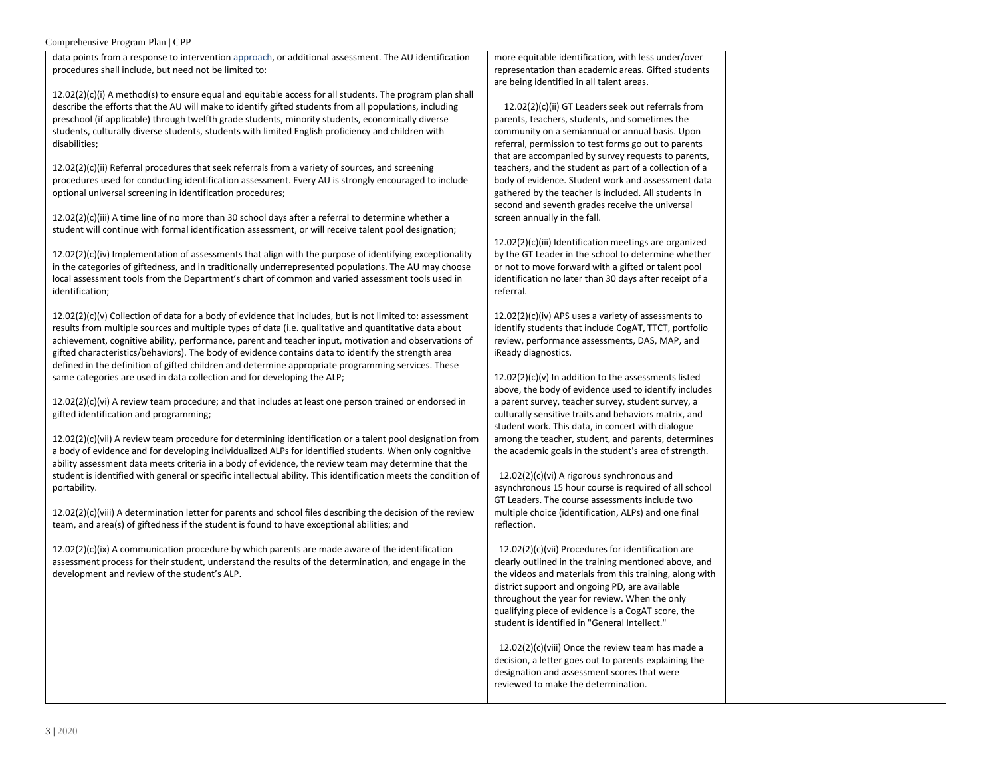data points from a response to intervention approach, or additional assessment. The AU identification procedures shall include, but need not be limited to:

 $12.02(2)(c)(i)$  A method(s) to ensure equal and equitable access for all students. The program plan shall describe the efforts that the AU will make to identify gifted students from all populations, including preschool (if applicable) through twelfth grade students, minority students, economically diverse students, culturally diverse students, students with limited English proficiency and children with disabilities;

 $12.02(2)(c)(ii)$  Referral procedures that seek referrals from a variety of sources, and screening procedures used for conducting identification assessment. Every AU is strongly encouraged to include optional universal screening in identification procedures;

12.02(2)(c)(iii) A time line of no more than 30 school days after a referral to determine whether a student will continue with formal identification assessment, or will receive talent pool designation;

12.02(2)(c)(iv) Implementation of assessments that align with the purpose of identifying exceptionality in the categories of giftedness, and in traditionally underrepresented populations. The AU may choose local assessment tools from the Department's chart of common and varied assessment tools used in identification;

12.02(2)(c)(v) Collection of data for a body of evidence that includes, but is not limited to: assessment results from multiple sources and multiple types of data (i.e. qualitative and quantitative data about achievement, cognitive ability, performance, parent and teacher input, motivation and observations of gifted characteristics/behaviors). The body of evidence contains data to identify the strength area defined in the definition of gifted children and determine appropriate programming services. These same categories are used in data collection and for developing the ALP;

12.02(2)(c)(vi) A review team procedure; and that includes at least one person trained or endorsed in gifted identification and programming;

12.02(2)(c)(vii) A review team procedure for determining identification or a talent pool designation from a body of evidence and for developing individualized ALPs for identified students. When only cognitive ability assessment data meets criteria in a body of evidence, the review team may determine that the student is identified with general or specific intellectual ability. This identification meets the condition of portability.

12.02(2)(c)(viii) A determination letter for parents and school files describing the decision of the review team, and area(s) of giftedness if the student is found to have exceptional abilities; and

 $12.02(2)(c)(ix)$  A communication procedure by which parents are made aware of the identification assessment process for their student, understand the results of the determination, and engage in the development and review of the student's ALP.

more equitable identification, with less under/over representation than academic areas. Gifted students are being identified in all talent areas.

 12.02(2)(c)(ii) GT Leaders seek out referrals from parents, teachers, students, and sometimes the community on a semiannual or annual basis. Upon referral, permission to test forms go out to parents that are accompanied by survey requests to parents, teachers, and the student as part of a collection of a body of evidence. Student work and assessment data gathered by the teacher is included. All students in second and seventh grades receive the universal screen annually in the fall.

12.02(2)(c)(iii) Identification meetings are organized by the GT Leader in the school to determine whether or not to move forward with a gifted or talent pool identification no later than 30 days after receipt of a referral.

12.02(2)(c)(iv) APS uses a variety of assessments to identify students that include CogAT, TTCT, portfolio review, performance assessments, DAS, MAP, and iReady diagnostics.

12.02(2)(c)(v) In addition to the assessments listed above, the body of evidence used to identify includes a parent survey, teacher survey, student survey, a culturally sensitive traits and behaviors matrix, and student work. This data, in concert with dialogue among the teacher, student, and parents, determines the academic goals in the student's area of strength.

12.02(2)(c)(vi) A rigorous synchronous and asynchronous 15 hour course is required of all school GT Leaders. The course assessments include two multiple choice (identification, ALPs) and one final reflection.

12.02(2)(c)(vii) Procedures for identification are clearly outlined in the training mentioned above, and the videos and materials from this training, along with district support and ongoing PD, are available throughout the year for review. When the only qualifying piece of evidence is a CogAT score, the student is identified in "General Intellect."

12.02(2)(c)(viii) Once the review team has made a decision, a letter goes out to parents explaining the designation and assessment scores that were reviewed to make the determination.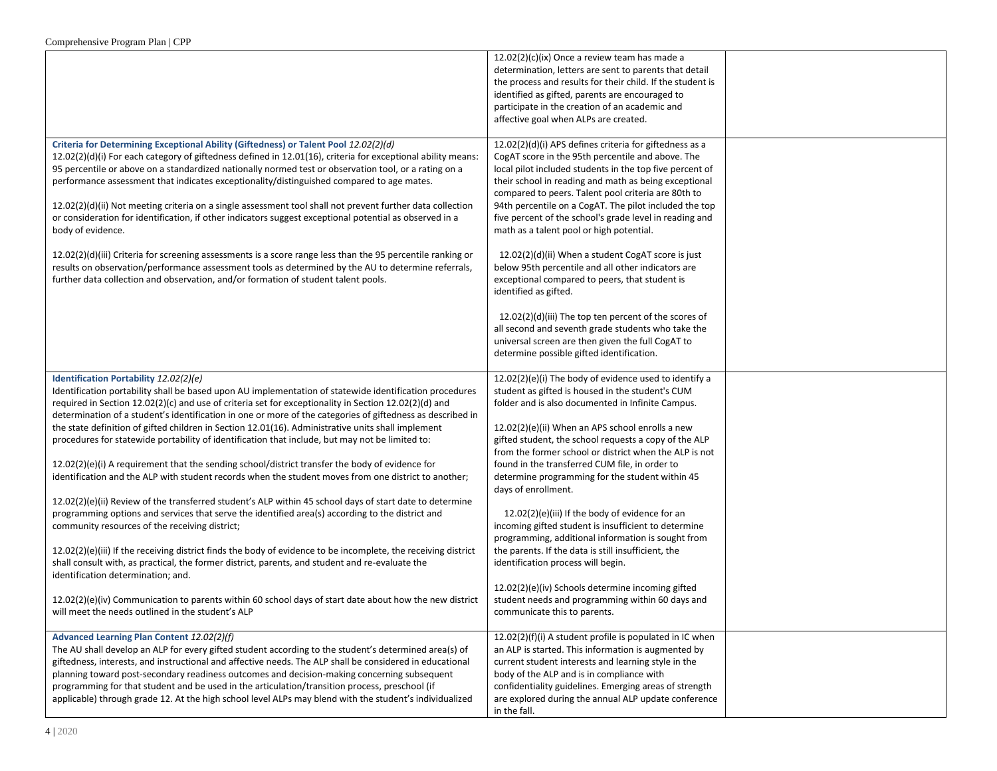|                                                                                                                                                                                                                                                                                                                                                                                                                                                                                                                                                                                                                                                                                                                                                                                                                                                                                                                                                                                                                                                                                                                                                                                                                                                                                                                                                                                                                                                                                                   | $12.02(2)(c)(ix)$ Once a review team has made a<br>determination, letters are sent to parents that detail<br>the process and results for their child. If the student is<br>identified as gifted, parents are encouraged to<br>participate in the creation of an academic and<br>affective goal when ALPs are created.                                                                                                                                                                                                                                                                                                                                                                                                                                                                                                                                                         |  |
|---------------------------------------------------------------------------------------------------------------------------------------------------------------------------------------------------------------------------------------------------------------------------------------------------------------------------------------------------------------------------------------------------------------------------------------------------------------------------------------------------------------------------------------------------------------------------------------------------------------------------------------------------------------------------------------------------------------------------------------------------------------------------------------------------------------------------------------------------------------------------------------------------------------------------------------------------------------------------------------------------------------------------------------------------------------------------------------------------------------------------------------------------------------------------------------------------------------------------------------------------------------------------------------------------------------------------------------------------------------------------------------------------------------------------------------------------------------------------------------------------|-------------------------------------------------------------------------------------------------------------------------------------------------------------------------------------------------------------------------------------------------------------------------------------------------------------------------------------------------------------------------------------------------------------------------------------------------------------------------------------------------------------------------------------------------------------------------------------------------------------------------------------------------------------------------------------------------------------------------------------------------------------------------------------------------------------------------------------------------------------------------------|--|
| Criteria for Determining Exceptional Ability (Giftedness) or Talent Pool 12.02(2)(d)<br>12.02(2)(d)(i) For each category of giftedness defined in 12.01(16), criteria for exceptional ability means:<br>95 percentile or above on a standardized nationally normed test or observation tool, or a rating on a<br>performance assessment that indicates exceptionality/distinguished compared to age mates.<br>12.02(2)(d)(ii) Not meeting criteria on a single assessment tool shall not prevent further data collection<br>or consideration for identification, if other indicators suggest exceptional potential as observed in a<br>body of evidence.<br>$12.02(2)(d)(iii)$ Criteria for screening assessments is a score range less than the 95 percentile ranking or<br>results on observation/performance assessment tools as determined by the AU to determine referrals,<br>further data collection and observation, and/or formation of student talent pools.                                                                                                                                                                                                                                                                                                                                                                                                                                                                                                                            | 12.02(2)(d)(i) APS defines criteria for giftedness as a<br>CogAT score in the 95th percentile and above. The<br>local pilot included students in the top five percent of<br>their school in reading and math as being exceptional<br>compared to peers. Talent pool criteria are 80th to<br>94th percentile on a CogAT. The pilot included the top<br>five percent of the school's grade level in reading and<br>math as a talent pool or high potential.<br>12.02(2)(d)(ii) When a student CogAT score is just<br>below 95th percentile and all other indicators are<br>exceptional compared to peers, that student is<br>identified as gifted.<br>12.02(2)(d)(iii) The top ten percent of the scores of<br>all second and seventh grade students who take the<br>universal screen are then given the full CogAT to<br>determine possible gifted identification.             |  |
| Identification Portability 12.02(2)(e)<br>Identification portability shall be based upon AU implementation of statewide identification procedures<br>required in Section 12.02(2)(c) and use of criteria set for exceptionality in Section 12.02(2)(d) and<br>determination of a student's identification in one or more of the categories of giftedness as described in<br>the state definition of gifted children in Section 12.01(16). Administrative units shall implement<br>procedures for statewide portability of identification that include, but may not be limited to:<br>$12.02(2)(e)(i)$ A requirement that the sending school/district transfer the body of evidence for<br>identification and the ALP with student records when the student moves from one district to another;<br>$12.02(2)(e)(ii)$ Review of the transferred student's ALP within 45 school days of start date to determine<br>programming options and services that serve the identified area(s) according to the district and<br>community resources of the receiving district;<br>$12.02(2)(e)(iii)$ If the receiving district finds the body of evidence to be incomplete, the receiving district<br>shall consult with, as practical, the former district, parents, and student and re-evaluate the<br>identification determination; and.<br>$12.02(2)(e)(iv)$ Communication to parents within 60 school days of start date about how the new district<br>will meet the needs outlined in the student's ALP | 12.02(2)(e)(i) The body of evidence used to identify a<br>student as gifted is housed in the student's CUM<br>folder and is also documented in Infinite Campus.<br>$12.02(2)(e)(ii)$ When an APS school enrolls a new<br>gifted student, the school requests a copy of the ALP<br>from the former school or district when the ALP is not<br>found in the transferred CUM file, in order to<br>determine programming for the student within 45<br>days of enrollment.<br>$12.02(2)(e)(iii)$ If the body of evidence for an<br>incoming gifted student is insufficient to determine<br>programming, additional information is sought from<br>the parents. If the data is still insufficient, the<br>identification process will begin.<br>12.02(2)(e)(iv) Schools determine incoming gifted<br>student needs and programming within 60 days and<br>communicate this to parents. |  |
| Advanced Learning Plan Content 12.02(2)(f)<br>The AU shall develop an ALP for every gifted student according to the student's determined area(s) of<br>giftedness, interests, and instructional and affective needs. The ALP shall be considered in educational<br>planning toward post-secondary readiness outcomes and decision-making concerning subsequent<br>programming for that student and be used in the articulation/transition process, preschool (if<br>applicable) through grade 12. At the high school level ALPs may blend with the student's individualized                                                                                                                                                                                                                                                                                                                                                                                                                                                                                                                                                                                                                                                                                                                                                                                                                                                                                                                       | 12.02(2)(f)(i) A student profile is populated in IC when<br>an ALP is started. This information is augmented by<br>current student interests and learning style in the<br>body of the ALP and is in compliance with<br>confidentiality guidelines. Emerging areas of strength<br>are explored during the annual ALP update conference<br>in the fall.                                                                                                                                                                                                                                                                                                                                                                                                                                                                                                                         |  |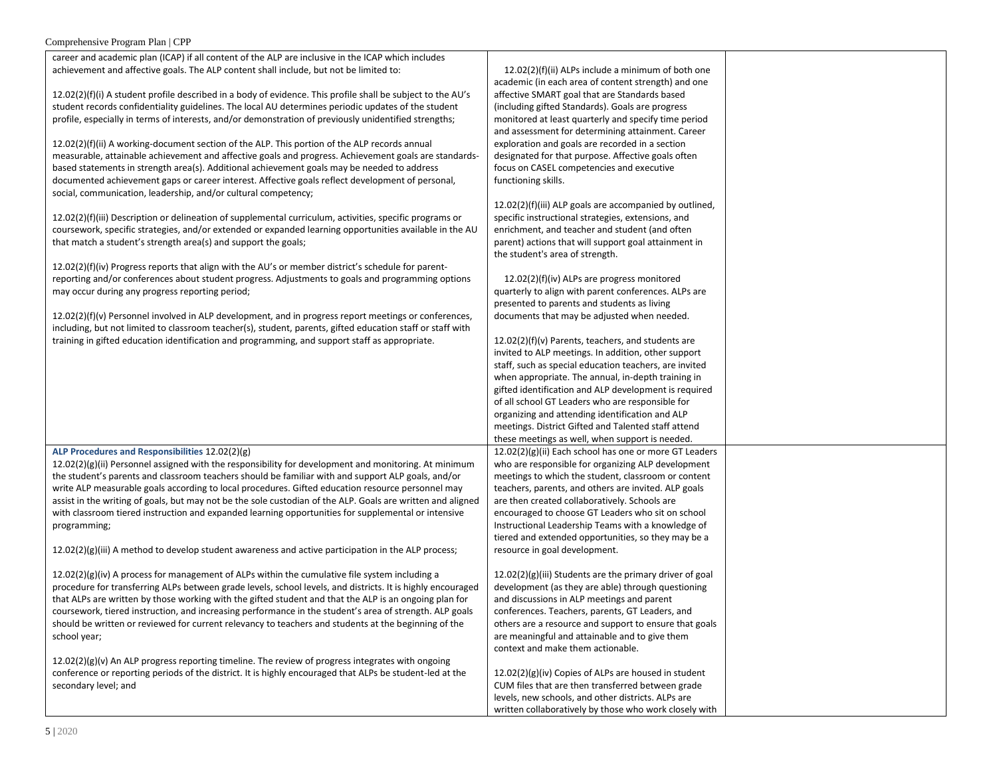| career and academic plan (ICAP) if all content of the ALP are inclusive in the ICAP which includes          |                                                          |  |
|-------------------------------------------------------------------------------------------------------------|----------------------------------------------------------|--|
| achievement and affective goals. The ALP content shall include, but not be limited to:                      | 12.02(2)(f)(ii) ALPs include a minimum of both one       |  |
|                                                                                                             | academic (in each area of content strength) and one      |  |
| 12.02(2)(f)(i) A student profile described in a body of evidence. This profile shall be subject to the AU's | affective SMART goal that are Standards based            |  |
| student records confidentiality guidelines. The local AU determines periodic updates of the student         | (including gifted Standards). Goals are progress         |  |
| profile, especially in terms of interests, and/or demonstration of previously unidentified strengths;       | monitored at least quarterly and specify time period     |  |
|                                                                                                             | and assessment for determining attainment. Career        |  |
| 12.02(2)(f)(ii) A working-document section of the ALP. This portion of the ALP records annual               | exploration and goals are recorded in a section          |  |
| measurable, attainable achievement and affective goals and progress. Achievement goals are standards-       | designated for that purpose. Affective goals often       |  |
| based statements in strength area(s). Additional achievement goals may be needed to address                 | focus on CASEL competencies and executive                |  |
| documented achievement gaps or career interest. Affective goals reflect development of personal,            | functioning skills.                                      |  |
| social, communication, leadership, and/or cultural competency;                                              |                                                          |  |
|                                                                                                             | 12.02(2)(f)(iii) ALP goals are accompanied by outlined,  |  |
| 12.02(2)(f)(iii) Description or delineation of supplemental curriculum, activities, specific programs or    | specific instructional strategies, extensions, and       |  |
| coursework, specific strategies, and/or extended or expanded learning opportunities available in the AU     | enrichment, and teacher and student (and often           |  |
| that match a student's strength area(s) and support the goals;                                              | parent) actions that will support goal attainment in     |  |
|                                                                                                             | the student's area of strength.                          |  |
| $12.02(2)(f)(iv)$ Progress reports that align with the AU's or member district's schedule for parent-       |                                                          |  |
| reporting and/or conferences about student progress. Adjustments to goals and programming options           | 12.02(2)(f)(iv) ALPs are progress monitored              |  |
| may occur during any progress reporting period;                                                             | quarterly to align with parent conferences. ALPs are     |  |
|                                                                                                             | presented to parents and students as living              |  |
| 12.02(2)(f)(v) Personnel involved in ALP development, and in progress report meetings or conferences,       | documents that may be adjusted when needed.              |  |
| including, but not limited to classroom teacher(s), student, parents, gifted education staff or staff with  |                                                          |  |
| training in gifted education identification and programming, and support staff as appropriate.              | 12.02(2)(f)(v) Parents, teachers, and students are       |  |
|                                                                                                             | invited to ALP meetings. In addition, other support      |  |
|                                                                                                             | staff, such as special education teachers, are invited   |  |
|                                                                                                             | when appropriate. The annual, in-depth training in       |  |
|                                                                                                             | gifted identification and ALP development is required    |  |
|                                                                                                             | of all school GT Leaders who are responsible for         |  |
|                                                                                                             | organizing and attending identification and ALP          |  |
|                                                                                                             | meetings. District Gifted and Talented staff attend      |  |
|                                                                                                             | these meetings as well, when support is needed.          |  |
| ALP Procedures and Responsibilities 12.02(2)(g)                                                             | 12.02(2)(g)(ii) Each school has one or more GT Leaders   |  |
| $12.02(2)(g)(ii)$ Personnel assigned with the responsibility for development and monitoring. At minimum     | who are responsible for organizing ALP development       |  |
| the student's parents and classroom teachers should be familiar with and support ALP goals, and/or          | meetings to which the student, classroom or content      |  |
| write ALP measurable goals according to local procedures. Gifted education resource personnel may           | teachers, parents, and others are invited. ALP goals     |  |
| assist in the writing of goals, but may not be the sole custodian of the ALP. Goals are written and aligned | are then created collaboratively. Schools are            |  |
| with classroom tiered instruction and expanded learning opportunities for supplemental or intensive         | encouraged to choose GT Leaders who sit on school        |  |
| programming;                                                                                                | Instructional Leadership Teams with a knowledge of       |  |
|                                                                                                             | tiered and extended opportunities, so they may be a      |  |
| $12.02(2)(g)(iii)$ A method to develop student awareness and active participation in the ALP process;       | resource in goal development.                            |  |
| $12.02(2)(g)(iv)$ A process for management of ALPs within the cumulative file system including a            | 12.02(2)(g)(iii) Students are the primary driver of goal |  |
| procedure for transferring ALPs between grade levels, school levels, and districts. It is highly encouraged | development (as they are able) through questioning       |  |
| that ALPs are written by those working with the gifted student and that the ALP is an ongoing plan for      | and discussions in ALP meetings and parent               |  |
| coursework, tiered instruction, and increasing performance in the student's area of strength. ALP goals     | conferences. Teachers, parents, GT Leaders, and          |  |
| should be written or reviewed for current relevancy to teachers and students at the beginning of the        | others are a resource and support to ensure that goals   |  |
| school year;                                                                                                | are meaningful and attainable and to give them           |  |
|                                                                                                             | context and make them actionable.                        |  |
| $12.02(2)(g)(v)$ An ALP progress reporting timeline. The review of progress integrates with ongoing         |                                                          |  |
| conference or reporting periods of the district. It is highly encouraged that ALPs be student-led at the    | 12.02(2)(g)(iv) Copies of ALPs are housed in student     |  |
| secondary level; and                                                                                        | CUM files that are then transferred between grade        |  |
|                                                                                                             | levels, new schools, and other districts. ALPs are       |  |
|                                                                                                             | written collaboratively by those who work closely with   |  |
|                                                                                                             |                                                          |  |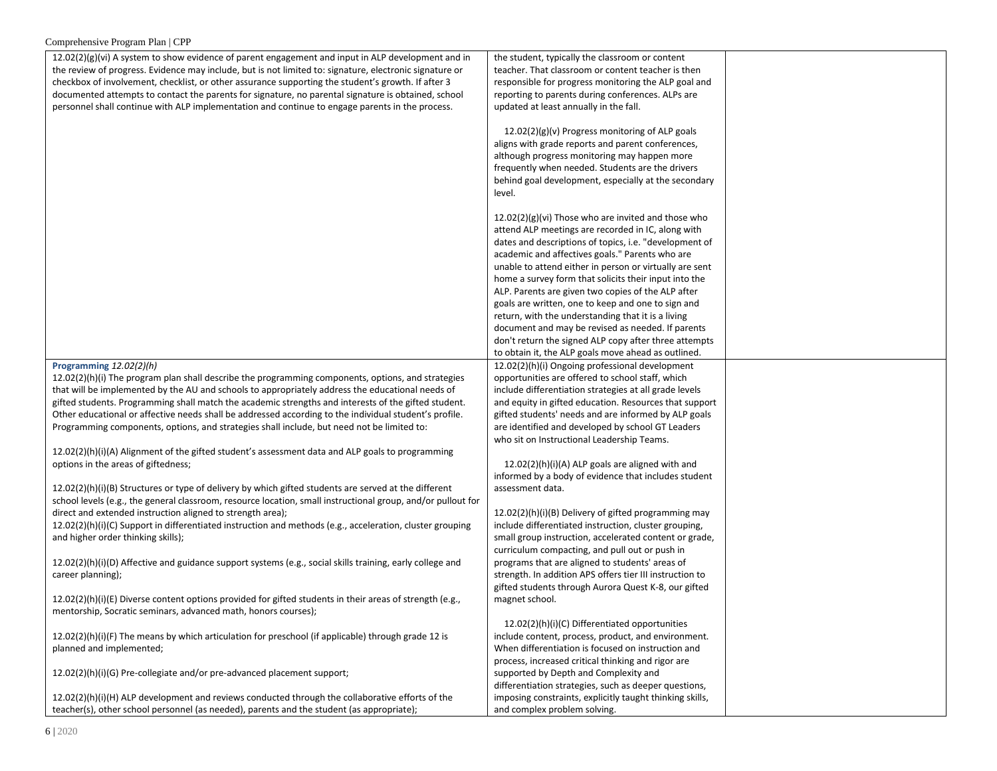| the review of progress. Evidence may include, but is not limited to: signature, electronic signature or<br>teacher. That classroom or content teacher is then<br>checkbox of involvement, checklist, or other assurance supporting the student's growth. If after 3<br>responsible for progress monitoring the ALP goal and<br>documented attempts to contact the parents for signature, no parental signature is obtained, school<br>reporting to parents during conferences. ALPs are<br>personnel shall continue with ALP implementation and continue to engage parents in the process.<br>updated at least annually in the fall.<br>$12.02(2)(g)(v)$ Progress monitoring of ALP goals<br>aligns with grade reports and parent conferences,<br>although progress monitoring may happen more<br>frequently when needed. Students are the drivers<br>behind goal development, especially at the secondary<br>level.<br>12.02(2)(g)(vi) Those who are invited and those who<br>attend ALP meetings are recorded in IC, along with<br>dates and descriptions of topics, i.e. "development of<br>academic and affectives goals." Parents who are<br>unable to attend either in person or virtually are sent<br>home a survey form that solicits their input into the<br>ALP. Parents are given two copies of the ALP after<br>goals are written, one to keep and one to sign and<br>return, with the understanding that it is a living<br>document and may be revised as needed. If parents<br>don't return the signed ALP copy after three attempts<br>to obtain it, the ALP goals move ahead as outlined.<br>12.02(2)(h)(i) Ongoing professional development<br>Programming $12.02(2)(h)$<br>12.02(2)(h)(i) The program plan shall describe the programming components, options, and strategies<br>opportunities are offered to school staff, which<br>that will be implemented by the AU and schools to appropriately address the educational needs of<br>include differentiation strategies at all grade levels<br>gifted students. Programming shall match the academic strengths and interests of the gifted student.<br>and equity in gifted education. Resources that support<br>Other educational or affective needs shall be addressed according to the individual student's profile.<br>gifted students' needs and are informed by ALP goals<br>are identified and developed by school GT Leaders<br>Programming components, options, and strategies shall include, but need not be limited to:<br>who sit on Instructional Leadership Teams.<br>$12.02(2)(h)(i)(A)$ Alignment of the gifted student's assessment data and ALP goals to programming<br>options in the areas of giftedness;<br>$12.02(2)(h)(i)(A)$ ALP goals are aligned with and<br>informed by a body of evidence that includes student<br>12.02(2)(h)(i)(B) Structures or type of delivery by which gifted students are served at the different<br>assessment data.<br>school levels (e.g., the general classroom, resource location, small instructional group, and/or pullout for<br>direct and extended instruction aligned to strength area);<br>12.02(2)(h)(i)(B) Delivery of gifted programming may<br>12.02(2)(h)(i)(C) Support in differentiated instruction and methods (e.g., acceleration, cluster grouping<br>include differentiated instruction, cluster grouping,<br>small group instruction, accelerated content or grade,<br>and higher order thinking skills);<br>curriculum compacting, and pull out or push in<br>12.02(2)(h)(i)(D) Affective and guidance support systems (e.g., social skills training, early college and<br>programs that are aligned to students' areas of<br>career planning);<br>strength. In addition APS offers tier III instruction to<br>gifted students through Aurora Quest K-8, our gifted<br>12.02(2)(h)(i)(E) Diverse content options provided for gifted students in their areas of strength (e.g.,<br>magnet school.<br>mentorship, Socratic seminars, advanced math, honors courses);<br>12.02(2)(h)(i)(C) Differentiated opportunities<br>12.02(2)(h)(i)(F) The means by which articulation for preschool (if applicable) through grade 12 is<br>include content, process, product, and environment.<br>When differentiation is focused on instruction and<br>planned and implemented;<br>process, increased critical thinking and rigor are<br>12.02(2)(h)(i)(G) Pre-collegiate and/or pre-advanced placement support;<br>supported by Depth and Complexity and<br>differentiation strategies, such as deeper questions,<br>12.02(2)(h)(i)(H) ALP development and reviews conducted through the collaborative efforts of the<br>imposing constraints, explicitly taught thinking skills, |                                                                                                      |                                                 |  |
|----------------------------------------------------------------------------------------------------------------------------------------------------------------------------------------------------------------------------------------------------------------------------------------------------------------------------------------------------------------------------------------------------------------------------------------------------------------------------------------------------------------------------------------------------------------------------------------------------------------------------------------------------------------------------------------------------------------------------------------------------------------------------------------------------------------------------------------------------------------------------------------------------------------------------------------------------------------------------------------------------------------------------------------------------------------------------------------------------------------------------------------------------------------------------------------------------------------------------------------------------------------------------------------------------------------------------------------------------------------------------------------------------------------------------------------------------------------------------------------------------------------------------------------------------------------------------------------------------------------------------------------------------------------------------------------------------------------------------------------------------------------------------------------------------------------------------------------------------------------------------------------------------------------------------------------------------------------------------------------------------------------------------------------------------------------------------------------------------------------------------------------------------------------------------------------------------------------------------------------------------------------------------------------------------------------------------------------------------------------------------------------------------------------------------------------------------------------------------------------------------------------------------------------------------------------------------------------------------------------------------------------------------------------------------------------------------------------------------------------------------------------------------------------------------------------------------------------------------------------------------------------------------------------------------------------------------------------------------------------------------------------------------------------------------------------------------------------------------------------------------------------------------------------------------------------------------------------------------------------------------------------------------------------------------------------------------------------------------------------------------------------------------------------------------------------------------------------------------------------------------------------------------------------------------------------------------------------------------------------------------------------------------------------------------------------------------------------------------------------------------------------------------------------------------------------------------------------------------------------------------------------------------------------------------------------------------------------------------------------------------------------------------------------------------------------------------------------------------------------------------------------------------------------------------------------------------------------------------------------------------------------------------------------------------------------------------------------------------------------------------------------------------------------------------------------------------------------------------------------------------------------------------------------------------------------------------------------------------------------------------------------------------------------------------------------------------------------------------|------------------------------------------------------------------------------------------------------|-------------------------------------------------|--|
|                                                                                                                                                                                                                                                                                                                                                                                                                                                                                                                                                                                                                                                                                                                                                                                                                                                                                                                                                                                                                                                                                                                                                                                                                                                                                                                                                                                                                                                                                                                                                                                                                                                                                                                                                                                                                                                                                                                                                                                                                                                                                                                                                                                                                                                                                                                                                                                                                                                                                                                                                                                                                                                                                                                                                                                                                                                                                                                                                                                                                                                                                                                                                                                                                                                                                                                                                                                                                                                                                                                                                                                                                                                                                                                                                                                                                                                                                                                                                                                                                                                                                                                                                                                                                                                                                                                                                                                                                                                                                                                                                                                                                                                                                                                            | $12.02(2)(g)(vi)$ A system to show evidence of parent engagement and input in ALP development and in | the student, typically the classroom or content |  |
|                                                                                                                                                                                                                                                                                                                                                                                                                                                                                                                                                                                                                                                                                                                                                                                                                                                                                                                                                                                                                                                                                                                                                                                                                                                                                                                                                                                                                                                                                                                                                                                                                                                                                                                                                                                                                                                                                                                                                                                                                                                                                                                                                                                                                                                                                                                                                                                                                                                                                                                                                                                                                                                                                                                                                                                                                                                                                                                                                                                                                                                                                                                                                                                                                                                                                                                                                                                                                                                                                                                                                                                                                                                                                                                                                                                                                                                                                                                                                                                                                                                                                                                                                                                                                                                                                                                                                                                                                                                                                                                                                                                                                                                                                                                            |                                                                                                      |                                                 |  |
|                                                                                                                                                                                                                                                                                                                                                                                                                                                                                                                                                                                                                                                                                                                                                                                                                                                                                                                                                                                                                                                                                                                                                                                                                                                                                                                                                                                                                                                                                                                                                                                                                                                                                                                                                                                                                                                                                                                                                                                                                                                                                                                                                                                                                                                                                                                                                                                                                                                                                                                                                                                                                                                                                                                                                                                                                                                                                                                                                                                                                                                                                                                                                                                                                                                                                                                                                                                                                                                                                                                                                                                                                                                                                                                                                                                                                                                                                                                                                                                                                                                                                                                                                                                                                                                                                                                                                                                                                                                                                                                                                                                                                                                                                                                            |                                                                                                      |                                                 |  |
|                                                                                                                                                                                                                                                                                                                                                                                                                                                                                                                                                                                                                                                                                                                                                                                                                                                                                                                                                                                                                                                                                                                                                                                                                                                                                                                                                                                                                                                                                                                                                                                                                                                                                                                                                                                                                                                                                                                                                                                                                                                                                                                                                                                                                                                                                                                                                                                                                                                                                                                                                                                                                                                                                                                                                                                                                                                                                                                                                                                                                                                                                                                                                                                                                                                                                                                                                                                                                                                                                                                                                                                                                                                                                                                                                                                                                                                                                                                                                                                                                                                                                                                                                                                                                                                                                                                                                                                                                                                                                                                                                                                                                                                                                                                            |                                                                                                      |                                                 |  |
|                                                                                                                                                                                                                                                                                                                                                                                                                                                                                                                                                                                                                                                                                                                                                                                                                                                                                                                                                                                                                                                                                                                                                                                                                                                                                                                                                                                                                                                                                                                                                                                                                                                                                                                                                                                                                                                                                                                                                                                                                                                                                                                                                                                                                                                                                                                                                                                                                                                                                                                                                                                                                                                                                                                                                                                                                                                                                                                                                                                                                                                                                                                                                                                                                                                                                                                                                                                                                                                                                                                                                                                                                                                                                                                                                                                                                                                                                                                                                                                                                                                                                                                                                                                                                                                                                                                                                                                                                                                                                                                                                                                                                                                                                                                            |                                                                                                      |                                                 |  |
|                                                                                                                                                                                                                                                                                                                                                                                                                                                                                                                                                                                                                                                                                                                                                                                                                                                                                                                                                                                                                                                                                                                                                                                                                                                                                                                                                                                                                                                                                                                                                                                                                                                                                                                                                                                                                                                                                                                                                                                                                                                                                                                                                                                                                                                                                                                                                                                                                                                                                                                                                                                                                                                                                                                                                                                                                                                                                                                                                                                                                                                                                                                                                                                                                                                                                                                                                                                                                                                                                                                                                                                                                                                                                                                                                                                                                                                                                                                                                                                                                                                                                                                                                                                                                                                                                                                                                                                                                                                                                                                                                                                                                                                                                                                            |                                                                                                      |                                                 |  |
|                                                                                                                                                                                                                                                                                                                                                                                                                                                                                                                                                                                                                                                                                                                                                                                                                                                                                                                                                                                                                                                                                                                                                                                                                                                                                                                                                                                                                                                                                                                                                                                                                                                                                                                                                                                                                                                                                                                                                                                                                                                                                                                                                                                                                                                                                                                                                                                                                                                                                                                                                                                                                                                                                                                                                                                                                                                                                                                                                                                                                                                                                                                                                                                                                                                                                                                                                                                                                                                                                                                                                                                                                                                                                                                                                                                                                                                                                                                                                                                                                                                                                                                                                                                                                                                                                                                                                                                                                                                                                                                                                                                                                                                                                                                            |                                                                                                      |                                                 |  |
|                                                                                                                                                                                                                                                                                                                                                                                                                                                                                                                                                                                                                                                                                                                                                                                                                                                                                                                                                                                                                                                                                                                                                                                                                                                                                                                                                                                                                                                                                                                                                                                                                                                                                                                                                                                                                                                                                                                                                                                                                                                                                                                                                                                                                                                                                                                                                                                                                                                                                                                                                                                                                                                                                                                                                                                                                                                                                                                                                                                                                                                                                                                                                                                                                                                                                                                                                                                                                                                                                                                                                                                                                                                                                                                                                                                                                                                                                                                                                                                                                                                                                                                                                                                                                                                                                                                                                                                                                                                                                                                                                                                                                                                                                                                            |                                                                                                      |                                                 |  |
|                                                                                                                                                                                                                                                                                                                                                                                                                                                                                                                                                                                                                                                                                                                                                                                                                                                                                                                                                                                                                                                                                                                                                                                                                                                                                                                                                                                                                                                                                                                                                                                                                                                                                                                                                                                                                                                                                                                                                                                                                                                                                                                                                                                                                                                                                                                                                                                                                                                                                                                                                                                                                                                                                                                                                                                                                                                                                                                                                                                                                                                                                                                                                                                                                                                                                                                                                                                                                                                                                                                                                                                                                                                                                                                                                                                                                                                                                                                                                                                                                                                                                                                                                                                                                                                                                                                                                                                                                                                                                                                                                                                                                                                                                                                            |                                                                                                      |                                                 |  |
|                                                                                                                                                                                                                                                                                                                                                                                                                                                                                                                                                                                                                                                                                                                                                                                                                                                                                                                                                                                                                                                                                                                                                                                                                                                                                                                                                                                                                                                                                                                                                                                                                                                                                                                                                                                                                                                                                                                                                                                                                                                                                                                                                                                                                                                                                                                                                                                                                                                                                                                                                                                                                                                                                                                                                                                                                                                                                                                                                                                                                                                                                                                                                                                                                                                                                                                                                                                                                                                                                                                                                                                                                                                                                                                                                                                                                                                                                                                                                                                                                                                                                                                                                                                                                                                                                                                                                                                                                                                                                                                                                                                                                                                                                                                            |                                                                                                      |                                                 |  |
|                                                                                                                                                                                                                                                                                                                                                                                                                                                                                                                                                                                                                                                                                                                                                                                                                                                                                                                                                                                                                                                                                                                                                                                                                                                                                                                                                                                                                                                                                                                                                                                                                                                                                                                                                                                                                                                                                                                                                                                                                                                                                                                                                                                                                                                                                                                                                                                                                                                                                                                                                                                                                                                                                                                                                                                                                                                                                                                                                                                                                                                                                                                                                                                                                                                                                                                                                                                                                                                                                                                                                                                                                                                                                                                                                                                                                                                                                                                                                                                                                                                                                                                                                                                                                                                                                                                                                                                                                                                                                                                                                                                                                                                                                                                            |                                                                                                      |                                                 |  |
|                                                                                                                                                                                                                                                                                                                                                                                                                                                                                                                                                                                                                                                                                                                                                                                                                                                                                                                                                                                                                                                                                                                                                                                                                                                                                                                                                                                                                                                                                                                                                                                                                                                                                                                                                                                                                                                                                                                                                                                                                                                                                                                                                                                                                                                                                                                                                                                                                                                                                                                                                                                                                                                                                                                                                                                                                                                                                                                                                                                                                                                                                                                                                                                                                                                                                                                                                                                                                                                                                                                                                                                                                                                                                                                                                                                                                                                                                                                                                                                                                                                                                                                                                                                                                                                                                                                                                                                                                                                                                                                                                                                                                                                                                                                            |                                                                                                      |                                                 |  |
|                                                                                                                                                                                                                                                                                                                                                                                                                                                                                                                                                                                                                                                                                                                                                                                                                                                                                                                                                                                                                                                                                                                                                                                                                                                                                                                                                                                                                                                                                                                                                                                                                                                                                                                                                                                                                                                                                                                                                                                                                                                                                                                                                                                                                                                                                                                                                                                                                                                                                                                                                                                                                                                                                                                                                                                                                                                                                                                                                                                                                                                                                                                                                                                                                                                                                                                                                                                                                                                                                                                                                                                                                                                                                                                                                                                                                                                                                                                                                                                                                                                                                                                                                                                                                                                                                                                                                                                                                                                                                                                                                                                                                                                                                                                            |                                                                                                      |                                                 |  |
|                                                                                                                                                                                                                                                                                                                                                                                                                                                                                                                                                                                                                                                                                                                                                                                                                                                                                                                                                                                                                                                                                                                                                                                                                                                                                                                                                                                                                                                                                                                                                                                                                                                                                                                                                                                                                                                                                                                                                                                                                                                                                                                                                                                                                                                                                                                                                                                                                                                                                                                                                                                                                                                                                                                                                                                                                                                                                                                                                                                                                                                                                                                                                                                                                                                                                                                                                                                                                                                                                                                                                                                                                                                                                                                                                                                                                                                                                                                                                                                                                                                                                                                                                                                                                                                                                                                                                                                                                                                                                                                                                                                                                                                                                                                            |                                                                                                      |                                                 |  |
|                                                                                                                                                                                                                                                                                                                                                                                                                                                                                                                                                                                                                                                                                                                                                                                                                                                                                                                                                                                                                                                                                                                                                                                                                                                                                                                                                                                                                                                                                                                                                                                                                                                                                                                                                                                                                                                                                                                                                                                                                                                                                                                                                                                                                                                                                                                                                                                                                                                                                                                                                                                                                                                                                                                                                                                                                                                                                                                                                                                                                                                                                                                                                                                                                                                                                                                                                                                                                                                                                                                                                                                                                                                                                                                                                                                                                                                                                                                                                                                                                                                                                                                                                                                                                                                                                                                                                                                                                                                                                                                                                                                                                                                                                                                            |                                                                                                      |                                                 |  |
|                                                                                                                                                                                                                                                                                                                                                                                                                                                                                                                                                                                                                                                                                                                                                                                                                                                                                                                                                                                                                                                                                                                                                                                                                                                                                                                                                                                                                                                                                                                                                                                                                                                                                                                                                                                                                                                                                                                                                                                                                                                                                                                                                                                                                                                                                                                                                                                                                                                                                                                                                                                                                                                                                                                                                                                                                                                                                                                                                                                                                                                                                                                                                                                                                                                                                                                                                                                                                                                                                                                                                                                                                                                                                                                                                                                                                                                                                                                                                                                                                                                                                                                                                                                                                                                                                                                                                                                                                                                                                                                                                                                                                                                                                                                            |                                                                                                      |                                                 |  |
|                                                                                                                                                                                                                                                                                                                                                                                                                                                                                                                                                                                                                                                                                                                                                                                                                                                                                                                                                                                                                                                                                                                                                                                                                                                                                                                                                                                                                                                                                                                                                                                                                                                                                                                                                                                                                                                                                                                                                                                                                                                                                                                                                                                                                                                                                                                                                                                                                                                                                                                                                                                                                                                                                                                                                                                                                                                                                                                                                                                                                                                                                                                                                                                                                                                                                                                                                                                                                                                                                                                                                                                                                                                                                                                                                                                                                                                                                                                                                                                                                                                                                                                                                                                                                                                                                                                                                                                                                                                                                                                                                                                                                                                                                                                            |                                                                                                      |                                                 |  |
|                                                                                                                                                                                                                                                                                                                                                                                                                                                                                                                                                                                                                                                                                                                                                                                                                                                                                                                                                                                                                                                                                                                                                                                                                                                                                                                                                                                                                                                                                                                                                                                                                                                                                                                                                                                                                                                                                                                                                                                                                                                                                                                                                                                                                                                                                                                                                                                                                                                                                                                                                                                                                                                                                                                                                                                                                                                                                                                                                                                                                                                                                                                                                                                                                                                                                                                                                                                                                                                                                                                                                                                                                                                                                                                                                                                                                                                                                                                                                                                                                                                                                                                                                                                                                                                                                                                                                                                                                                                                                                                                                                                                                                                                                                                            |                                                                                                      |                                                 |  |
|                                                                                                                                                                                                                                                                                                                                                                                                                                                                                                                                                                                                                                                                                                                                                                                                                                                                                                                                                                                                                                                                                                                                                                                                                                                                                                                                                                                                                                                                                                                                                                                                                                                                                                                                                                                                                                                                                                                                                                                                                                                                                                                                                                                                                                                                                                                                                                                                                                                                                                                                                                                                                                                                                                                                                                                                                                                                                                                                                                                                                                                                                                                                                                                                                                                                                                                                                                                                                                                                                                                                                                                                                                                                                                                                                                                                                                                                                                                                                                                                                                                                                                                                                                                                                                                                                                                                                                                                                                                                                                                                                                                                                                                                                                                            |                                                                                                      |                                                 |  |
|                                                                                                                                                                                                                                                                                                                                                                                                                                                                                                                                                                                                                                                                                                                                                                                                                                                                                                                                                                                                                                                                                                                                                                                                                                                                                                                                                                                                                                                                                                                                                                                                                                                                                                                                                                                                                                                                                                                                                                                                                                                                                                                                                                                                                                                                                                                                                                                                                                                                                                                                                                                                                                                                                                                                                                                                                                                                                                                                                                                                                                                                                                                                                                                                                                                                                                                                                                                                                                                                                                                                                                                                                                                                                                                                                                                                                                                                                                                                                                                                                                                                                                                                                                                                                                                                                                                                                                                                                                                                                                                                                                                                                                                                                                                            |                                                                                                      |                                                 |  |
|                                                                                                                                                                                                                                                                                                                                                                                                                                                                                                                                                                                                                                                                                                                                                                                                                                                                                                                                                                                                                                                                                                                                                                                                                                                                                                                                                                                                                                                                                                                                                                                                                                                                                                                                                                                                                                                                                                                                                                                                                                                                                                                                                                                                                                                                                                                                                                                                                                                                                                                                                                                                                                                                                                                                                                                                                                                                                                                                                                                                                                                                                                                                                                                                                                                                                                                                                                                                                                                                                                                                                                                                                                                                                                                                                                                                                                                                                                                                                                                                                                                                                                                                                                                                                                                                                                                                                                                                                                                                                                                                                                                                                                                                                                                            |                                                                                                      |                                                 |  |
|                                                                                                                                                                                                                                                                                                                                                                                                                                                                                                                                                                                                                                                                                                                                                                                                                                                                                                                                                                                                                                                                                                                                                                                                                                                                                                                                                                                                                                                                                                                                                                                                                                                                                                                                                                                                                                                                                                                                                                                                                                                                                                                                                                                                                                                                                                                                                                                                                                                                                                                                                                                                                                                                                                                                                                                                                                                                                                                                                                                                                                                                                                                                                                                                                                                                                                                                                                                                                                                                                                                                                                                                                                                                                                                                                                                                                                                                                                                                                                                                                                                                                                                                                                                                                                                                                                                                                                                                                                                                                                                                                                                                                                                                                                                            |                                                                                                      |                                                 |  |
|                                                                                                                                                                                                                                                                                                                                                                                                                                                                                                                                                                                                                                                                                                                                                                                                                                                                                                                                                                                                                                                                                                                                                                                                                                                                                                                                                                                                                                                                                                                                                                                                                                                                                                                                                                                                                                                                                                                                                                                                                                                                                                                                                                                                                                                                                                                                                                                                                                                                                                                                                                                                                                                                                                                                                                                                                                                                                                                                                                                                                                                                                                                                                                                                                                                                                                                                                                                                                                                                                                                                                                                                                                                                                                                                                                                                                                                                                                                                                                                                                                                                                                                                                                                                                                                                                                                                                                                                                                                                                                                                                                                                                                                                                                                            |                                                                                                      |                                                 |  |
|                                                                                                                                                                                                                                                                                                                                                                                                                                                                                                                                                                                                                                                                                                                                                                                                                                                                                                                                                                                                                                                                                                                                                                                                                                                                                                                                                                                                                                                                                                                                                                                                                                                                                                                                                                                                                                                                                                                                                                                                                                                                                                                                                                                                                                                                                                                                                                                                                                                                                                                                                                                                                                                                                                                                                                                                                                                                                                                                                                                                                                                                                                                                                                                                                                                                                                                                                                                                                                                                                                                                                                                                                                                                                                                                                                                                                                                                                                                                                                                                                                                                                                                                                                                                                                                                                                                                                                                                                                                                                                                                                                                                                                                                                                                            |                                                                                                      |                                                 |  |
|                                                                                                                                                                                                                                                                                                                                                                                                                                                                                                                                                                                                                                                                                                                                                                                                                                                                                                                                                                                                                                                                                                                                                                                                                                                                                                                                                                                                                                                                                                                                                                                                                                                                                                                                                                                                                                                                                                                                                                                                                                                                                                                                                                                                                                                                                                                                                                                                                                                                                                                                                                                                                                                                                                                                                                                                                                                                                                                                                                                                                                                                                                                                                                                                                                                                                                                                                                                                                                                                                                                                                                                                                                                                                                                                                                                                                                                                                                                                                                                                                                                                                                                                                                                                                                                                                                                                                                                                                                                                                                                                                                                                                                                                                                                            |                                                                                                      |                                                 |  |
|                                                                                                                                                                                                                                                                                                                                                                                                                                                                                                                                                                                                                                                                                                                                                                                                                                                                                                                                                                                                                                                                                                                                                                                                                                                                                                                                                                                                                                                                                                                                                                                                                                                                                                                                                                                                                                                                                                                                                                                                                                                                                                                                                                                                                                                                                                                                                                                                                                                                                                                                                                                                                                                                                                                                                                                                                                                                                                                                                                                                                                                                                                                                                                                                                                                                                                                                                                                                                                                                                                                                                                                                                                                                                                                                                                                                                                                                                                                                                                                                                                                                                                                                                                                                                                                                                                                                                                                                                                                                                                                                                                                                                                                                                                                            |                                                                                                      |                                                 |  |
|                                                                                                                                                                                                                                                                                                                                                                                                                                                                                                                                                                                                                                                                                                                                                                                                                                                                                                                                                                                                                                                                                                                                                                                                                                                                                                                                                                                                                                                                                                                                                                                                                                                                                                                                                                                                                                                                                                                                                                                                                                                                                                                                                                                                                                                                                                                                                                                                                                                                                                                                                                                                                                                                                                                                                                                                                                                                                                                                                                                                                                                                                                                                                                                                                                                                                                                                                                                                                                                                                                                                                                                                                                                                                                                                                                                                                                                                                                                                                                                                                                                                                                                                                                                                                                                                                                                                                                                                                                                                                                                                                                                                                                                                                                                            |                                                                                                      |                                                 |  |
|                                                                                                                                                                                                                                                                                                                                                                                                                                                                                                                                                                                                                                                                                                                                                                                                                                                                                                                                                                                                                                                                                                                                                                                                                                                                                                                                                                                                                                                                                                                                                                                                                                                                                                                                                                                                                                                                                                                                                                                                                                                                                                                                                                                                                                                                                                                                                                                                                                                                                                                                                                                                                                                                                                                                                                                                                                                                                                                                                                                                                                                                                                                                                                                                                                                                                                                                                                                                                                                                                                                                                                                                                                                                                                                                                                                                                                                                                                                                                                                                                                                                                                                                                                                                                                                                                                                                                                                                                                                                                                                                                                                                                                                                                                                            |                                                                                                      |                                                 |  |
|                                                                                                                                                                                                                                                                                                                                                                                                                                                                                                                                                                                                                                                                                                                                                                                                                                                                                                                                                                                                                                                                                                                                                                                                                                                                                                                                                                                                                                                                                                                                                                                                                                                                                                                                                                                                                                                                                                                                                                                                                                                                                                                                                                                                                                                                                                                                                                                                                                                                                                                                                                                                                                                                                                                                                                                                                                                                                                                                                                                                                                                                                                                                                                                                                                                                                                                                                                                                                                                                                                                                                                                                                                                                                                                                                                                                                                                                                                                                                                                                                                                                                                                                                                                                                                                                                                                                                                                                                                                                                                                                                                                                                                                                                                                            |                                                                                                      |                                                 |  |
|                                                                                                                                                                                                                                                                                                                                                                                                                                                                                                                                                                                                                                                                                                                                                                                                                                                                                                                                                                                                                                                                                                                                                                                                                                                                                                                                                                                                                                                                                                                                                                                                                                                                                                                                                                                                                                                                                                                                                                                                                                                                                                                                                                                                                                                                                                                                                                                                                                                                                                                                                                                                                                                                                                                                                                                                                                                                                                                                                                                                                                                                                                                                                                                                                                                                                                                                                                                                                                                                                                                                                                                                                                                                                                                                                                                                                                                                                                                                                                                                                                                                                                                                                                                                                                                                                                                                                                                                                                                                                                                                                                                                                                                                                                                            |                                                                                                      |                                                 |  |
|                                                                                                                                                                                                                                                                                                                                                                                                                                                                                                                                                                                                                                                                                                                                                                                                                                                                                                                                                                                                                                                                                                                                                                                                                                                                                                                                                                                                                                                                                                                                                                                                                                                                                                                                                                                                                                                                                                                                                                                                                                                                                                                                                                                                                                                                                                                                                                                                                                                                                                                                                                                                                                                                                                                                                                                                                                                                                                                                                                                                                                                                                                                                                                                                                                                                                                                                                                                                                                                                                                                                                                                                                                                                                                                                                                                                                                                                                                                                                                                                                                                                                                                                                                                                                                                                                                                                                                                                                                                                                                                                                                                                                                                                                                                            |                                                                                                      |                                                 |  |
|                                                                                                                                                                                                                                                                                                                                                                                                                                                                                                                                                                                                                                                                                                                                                                                                                                                                                                                                                                                                                                                                                                                                                                                                                                                                                                                                                                                                                                                                                                                                                                                                                                                                                                                                                                                                                                                                                                                                                                                                                                                                                                                                                                                                                                                                                                                                                                                                                                                                                                                                                                                                                                                                                                                                                                                                                                                                                                                                                                                                                                                                                                                                                                                                                                                                                                                                                                                                                                                                                                                                                                                                                                                                                                                                                                                                                                                                                                                                                                                                                                                                                                                                                                                                                                                                                                                                                                                                                                                                                                                                                                                                                                                                                                                            |                                                                                                      |                                                 |  |
|                                                                                                                                                                                                                                                                                                                                                                                                                                                                                                                                                                                                                                                                                                                                                                                                                                                                                                                                                                                                                                                                                                                                                                                                                                                                                                                                                                                                                                                                                                                                                                                                                                                                                                                                                                                                                                                                                                                                                                                                                                                                                                                                                                                                                                                                                                                                                                                                                                                                                                                                                                                                                                                                                                                                                                                                                                                                                                                                                                                                                                                                                                                                                                                                                                                                                                                                                                                                                                                                                                                                                                                                                                                                                                                                                                                                                                                                                                                                                                                                                                                                                                                                                                                                                                                                                                                                                                                                                                                                                                                                                                                                                                                                                                                            |                                                                                                      |                                                 |  |
|                                                                                                                                                                                                                                                                                                                                                                                                                                                                                                                                                                                                                                                                                                                                                                                                                                                                                                                                                                                                                                                                                                                                                                                                                                                                                                                                                                                                                                                                                                                                                                                                                                                                                                                                                                                                                                                                                                                                                                                                                                                                                                                                                                                                                                                                                                                                                                                                                                                                                                                                                                                                                                                                                                                                                                                                                                                                                                                                                                                                                                                                                                                                                                                                                                                                                                                                                                                                                                                                                                                                                                                                                                                                                                                                                                                                                                                                                                                                                                                                                                                                                                                                                                                                                                                                                                                                                                                                                                                                                                                                                                                                                                                                                                                            |                                                                                                      |                                                 |  |
|                                                                                                                                                                                                                                                                                                                                                                                                                                                                                                                                                                                                                                                                                                                                                                                                                                                                                                                                                                                                                                                                                                                                                                                                                                                                                                                                                                                                                                                                                                                                                                                                                                                                                                                                                                                                                                                                                                                                                                                                                                                                                                                                                                                                                                                                                                                                                                                                                                                                                                                                                                                                                                                                                                                                                                                                                                                                                                                                                                                                                                                                                                                                                                                                                                                                                                                                                                                                                                                                                                                                                                                                                                                                                                                                                                                                                                                                                                                                                                                                                                                                                                                                                                                                                                                                                                                                                                                                                                                                                                                                                                                                                                                                                                                            |                                                                                                      |                                                 |  |
|                                                                                                                                                                                                                                                                                                                                                                                                                                                                                                                                                                                                                                                                                                                                                                                                                                                                                                                                                                                                                                                                                                                                                                                                                                                                                                                                                                                                                                                                                                                                                                                                                                                                                                                                                                                                                                                                                                                                                                                                                                                                                                                                                                                                                                                                                                                                                                                                                                                                                                                                                                                                                                                                                                                                                                                                                                                                                                                                                                                                                                                                                                                                                                                                                                                                                                                                                                                                                                                                                                                                                                                                                                                                                                                                                                                                                                                                                                                                                                                                                                                                                                                                                                                                                                                                                                                                                                                                                                                                                                                                                                                                                                                                                                                            |                                                                                                      |                                                 |  |
|                                                                                                                                                                                                                                                                                                                                                                                                                                                                                                                                                                                                                                                                                                                                                                                                                                                                                                                                                                                                                                                                                                                                                                                                                                                                                                                                                                                                                                                                                                                                                                                                                                                                                                                                                                                                                                                                                                                                                                                                                                                                                                                                                                                                                                                                                                                                                                                                                                                                                                                                                                                                                                                                                                                                                                                                                                                                                                                                                                                                                                                                                                                                                                                                                                                                                                                                                                                                                                                                                                                                                                                                                                                                                                                                                                                                                                                                                                                                                                                                                                                                                                                                                                                                                                                                                                                                                                                                                                                                                                                                                                                                                                                                                                                            |                                                                                                      |                                                 |  |
|                                                                                                                                                                                                                                                                                                                                                                                                                                                                                                                                                                                                                                                                                                                                                                                                                                                                                                                                                                                                                                                                                                                                                                                                                                                                                                                                                                                                                                                                                                                                                                                                                                                                                                                                                                                                                                                                                                                                                                                                                                                                                                                                                                                                                                                                                                                                                                                                                                                                                                                                                                                                                                                                                                                                                                                                                                                                                                                                                                                                                                                                                                                                                                                                                                                                                                                                                                                                                                                                                                                                                                                                                                                                                                                                                                                                                                                                                                                                                                                                                                                                                                                                                                                                                                                                                                                                                                                                                                                                                                                                                                                                                                                                                                                            |                                                                                                      |                                                 |  |
|                                                                                                                                                                                                                                                                                                                                                                                                                                                                                                                                                                                                                                                                                                                                                                                                                                                                                                                                                                                                                                                                                                                                                                                                                                                                                                                                                                                                                                                                                                                                                                                                                                                                                                                                                                                                                                                                                                                                                                                                                                                                                                                                                                                                                                                                                                                                                                                                                                                                                                                                                                                                                                                                                                                                                                                                                                                                                                                                                                                                                                                                                                                                                                                                                                                                                                                                                                                                                                                                                                                                                                                                                                                                                                                                                                                                                                                                                                                                                                                                                                                                                                                                                                                                                                                                                                                                                                                                                                                                                                                                                                                                                                                                                                                            |                                                                                                      |                                                 |  |
|                                                                                                                                                                                                                                                                                                                                                                                                                                                                                                                                                                                                                                                                                                                                                                                                                                                                                                                                                                                                                                                                                                                                                                                                                                                                                                                                                                                                                                                                                                                                                                                                                                                                                                                                                                                                                                                                                                                                                                                                                                                                                                                                                                                                                                                                                                                                                                                                                                                                                                                                                                                                                                                                                                                                                                                                                                                                                                                                                                                                                                                                                                                                                                                                                                                                                                                                                                                                                                                                                                                                                                                                                                                                                                                                                                                                                                                                                                                                                                                                                                                                                                                                                                                                                                                                                                                                                                                                                                                                                                                                                                                                                                                                                                                            |                                                                                                      |                                                 |  |
|                                                                                                                                                                                                                                                                                                                                                                                                                                                                                                                                                                                                                                                                                                                                                                                                                                                                                                                                                                                                                                                                                                                                                                                                                                                                                                                                                                                                                                                                                                                                                                                                                                                                                                                                                                                                                                                                                                                                                                                                                                                                                                                                                                                                                                                                                                                                                                                                                                                                                                                                                                                                                                                                                                                                                                                                                                                                                                                                                                                                                                                                                                                                                                                                                                                                                                                                                                                                                                                                                                                                                                                                                                                                                                                                                                                                                                                                                                                                                                                                                                                                                                                                                                                                                                                                                                                                                                                                                                                                                                                                                                                                                                                                                                                            |                                                                                                      |                                                 |  |
|                                                                                                                                                                                                                                                                                                                                                                                                                                                                                                                                                                                                                                                                                                                                                                                                                                                                                                                                                                                                                                                                                                                                                                                                                                                                                                                                                                                                                                                                                                                                                                                                                                                                                                                                                                                                                                                                                                                                                                                                                                                                                                                                                                                                                                                                                                                                                                                                                                                                                                                                                                                                                                                                                                                                                                                                                                                                                                                                                                                                                                                                                                                                                                                                                                                                                                                                                                                                                                                                                                                                                                                                                                                                                                                                                                                                                                                                                                                                                                                                                                                                                                                                                                                                                                                                                                                                                                                                                                                                                                                                                                                                                                                                                                                            |                                                                                                      |                                                 |  |
|                                                                                                                                                                                                                                                                                                                                                                                                                                                                                                                                                                                                                                                                                                                                                                                                                                                                                                                                                                                                                                                                                                                                                                                                                                                                                                                                                                                                                                                                                                                                                                                                                                                                                                                                                                                                                                                                                                                                                                                                                                                                                                                                                                                                                                                                                                                                                                                                                                                                                                                                                                                                                                                                                                                                                                                                                                                                                                                                                                                                                                                                                                                                                                                                                                                                                                                                                                                                                                                                                                                                                                                                                                                                                                                                                                                                                                                                                                                                                                                                                                                                                                                                                                                                                                                                                                                                                                                                                                                                                                                                                                                                                                                                                                                            |                                                                                                      |                                                 |  |
|                                                                                                                                                                                                                                                                                                                                                                                                                                                                                                                                                                                                                                                                                                                                                                                                                                                                                                                                                                                                                                                                                                                                                                                                                                                                                                                                                                                                                                                                                                                                                                                                                                                                                                                                                                                                                                                                                                                                                                                                                                                                                                                                                                                                                                                                                                                                                                                                                                                                                                                                                                                                                                                                                                                                                                                                                                                                                                                                                                                                                                                                                                                                                                                                                                                                                                                                                                                                                                                                                                                                                                                                                                                                                                                                                                                                                                                                                                                                                                                                                                                                                                                                                                                                                                                                                                                                                                                                                                                                                                                                                                                                                                                                                                                            |                                                                                                      |                                                 |  |
|                                                                                                                                                                                                                                                                                                                                                                                                                                                                                                                                                                                                                                                                                                                                                                                                                                                                                                                                                                                                                                                                                                                                                                                                                                                                                                                                                                                                                                                                                                                                                                                                                                                                                                                                                                                                                                                                                                                                                                                                                                                                                                                                                                                                                                                                                                                                                                                                                                                                                                                                                                                                                                                                                                                                                                                                                                                                                                                                                                                                                                                                                                                                                                                                                                                                                                                                                                                                                                                                                                                                                                                                                                                                                                                                                                                                                                                                                                                                                                                                                                                                                                                                                                                                                                                                                                                                                                                                                                                                                                                                                                                                                                                                                                                            |                                                                                                      |                                                 |  |
|                                                                                                                                                                                                                                                                                                                                                                                                                                                                                                                                                                                                                                                                                                                                                                                                                                                                                                                                                                                                                                                                                                                                                                                                                                                                                                                                                                                                                                                                                                                                                                                                                                                                                                                                                                                                                                                                                                                                                                                                                                                                                                                                                                                                                                                                                                                                                                                                                                                                                                                                                                                                                                                                                                                                                                                                                                                                                                                                                                                                                                                                                                                                                                                                                                                                                                                                                                                                                                                                                                                                                                                                                                                                                                                                                                                                                                                                                                                                                                                                                                                                                                                                                                                                                                                                                                                                                                                                                                                                                                                                                                                                                                                                                                                            |                                                                                                      |                                                 |  |
|                                                                                                                                                                                                                                                                                                                                                                                                                                                                                                                                                                                                                                                                                                                                                                                                                                                                                                                                                                                                                                                                                                                                                                                                                                                                                                                                                                                                                                                                                                                                                                                                                                                                                                                                                                                                                                                                                                                                                                                                                                                                                                                                                                                                                                                                                                                                                                                                                                                                                                                                                                                                                                                                                                                                                                                                                                                                                                                                                                                                                                                                                                                                                                                                                                                                                                                                                                                                                                                                                                                                                                                                                                                                                                                                                                                                                                                                                                                                                                                                                                                                                                                                                                                                                                                                                                                                                                                                                                                                                                                                                                                                                                                                                                                            |                                                                                                      |                                                 |  |
|                                                                                                                                                                                                                                                                                                                                                                                                                                                                                                                                                                                                                                                                                                                                                                                                                                                                                                                                                                                                                                                                                                                                                                                                                                                                                                                                                                                                                                                                                                                                                                                                                                                                                                                                                                                                                                                                                                                                                                                                                                                                                                                                                                                                                                                                                                                                                                                                                                                                                                                                                                                                                                                                                                                                                                                                                                                                                                                                                                                                                                                                                                                                                                                                                                                                                                                                                                                                                                                                                                                                                                                                                                                                                                                                                                                                                                                                                                                                                                                                                                                                                                                                                                                                                                                                                                                                                                                                                                                                                                                                                                                                                                                                                                                            |                                                                                                      |                                                 |  |
|                                                                                                                                                                                                                                                                                                                                                                                                                                                                                                                                                                                                                                                                                                                                                                                                                                                                                                                                                                                                                                                                                                                                                                                                                                                                                                                                                                                                                                                                                                                                                                                                                                                                                                                                                                                                                                                                                                                                                                                                                                                                                                                                                                                                                                                                                                                                                                                                                                                                                                                                                                                                                                                                                                                                                                                                                                                                                                                                                                                                                                                                                                                                                                                                                                                                                                                                                                                                                                                                                                                                                                                                                                                                                                                                                                                                                                                                                                                                                                                                                                                                                                                                                                                                                                                                                                                                                                                                                                                                                                                                                                                                                                                                                                                            |                                                                                                      |                                                 |  |
|                                                                                                                                                                                                                                                                                                                                                                                                                                                                                                                                                                                                                                                                                                                                                                                                                                                                                                                                                                                                                                                                                                                                                                                                                                                                                                                                                                                                                                                                                                                                                                                                                                                                                                                                                                                                                                                                                                                                                                                                                                                                                                                                                                                                                                                                                                                                                                                                                                                                                                                                                                                                                                                                                                                                                                                                                                                                                                                                                                                                                                                                                                                                                                                                                                                                                                                                                                                                                                                                                                                                                                                                                                                                                                                                                                                                                                                                                                                                                                                                                                                                                                                                                                                                                                                                                                                                                                                                                                                                                                                                                                                                                                                                                                                            |                                                                                                      |                                                 |  |
|                                                                                                                                                                                                                                                                                                                                                                                                                                                                                                                                                                                                                                                                                                                                                                                                                                                                                                                                                                                                                                                                                                                                                                                                                                                                                                                                                                                                                                                                                                                                                                                                                                                                                                                                                                                                                                                                                                                                                                                                                                                                                                                                                                                                                                                                                                                                                                                                                                                                                                                                                                                                                                                                                                                                                                                                                                                                                                                                                                                                                                                                                                                                                                                                                                                                                                                                                                                                                                                                                                                                                                                                                                                                                                                                                                                                                                                                                                                                                                                                                                                                                                                                                                                                                                                                                                                                                                                                                                                                                                                                                                                                                                                                                                                            |                                                                                                      |                                                 |  |
|                                                                                                                                                                                                                                                                                                                                                                                                                                                                                                                                                                                                                                                                                                                                                                                                                                                                                                                                                                                                                                                                                                                                                                                                                                                                                                                                                                                                                                                                                                                                                                                                                                                                                                                                                                                                                                                                                                                                                                                                                                                                                                                                                                                                                                                                                                                                                                                                                                                                                                                                                                                                                                                                                                                                                                                                                                                                                                                                                                                                                                                                                                                                                                                                                                                                                                                                                                                                                                                                                                                                                                                                                                                                                                                                                                                                                                                                                                                                                                                                                                                                                                                                                                                                                                                                                                                                                                                                                                                                                                                                                                                                                                                                                                                            |                                                                                                      |                                                 |  |
|                                                                                                                                                                                                                                                                                                                                                                                                                                                                                                                                                                                                                                                                                                                                                                                                                                                                                                                                                                                                                                                                                                                                                                                                                                                                                                                                                                                                                                                                                                                                                                                                                                                                                                                                                                                                                                                                                                                                                                                                                                                                                                                                                                                                                                                                                                                                                                                                                                                                                                                                                                                                                                                                                                                                                                                                                                                                                                                                                                                                                                                                                                                                                                                                                                                                                                                                                                                                                                                                                                                                                                                                                                                                                                                                                                                                                                                                                                                                                                                                                                                                                                                                                                                                                                                                                                                                                                                                                                                                                                                                                                                                                                                                                                                            |                                                                                                      |                                                 |  |
|                                                                                                                                                                                                                                                                                                                                                                                                                                                                                                                                                                                                                                                                                                                                                                                                                                                                                                                                                                                                                                                                                                                                                                                                                                                                                                                                                                                                                                                                                                                                                                                                                                                                                                                                                                                                                                                                                                                                                                                                                                                                                                                                                                                                                                                                                                                                                                                                                                                                                                                                                                                                                                                                                                                                                                                                                                                                                                                                                                                                                                                                                                                                                                                                                                                                                                                                                                                                                                                                                                                                                                                                                                                                                                                                                                                                                                                                                                                                                                                                                                                                                                                                                                                                                                                                                                                                                                                                                                                                                                                                                                                                                                                                                                                            |                                                                                                      |                                                 |  |
|                                                                                                                                                                                                                                                                                                                                                                                                                                                                                                                                                                                                                                                                                                                                                                                                                                                                                                                                                                                                                                                                                                                                                                                                                                                                                                                                                                                                                                                                                                                                                                                                                                                                                                                                                                                                                                                                                                                                                                                                                                                                                                                                                                                                                                                                                                                                                                                                                                                                                                                                                                                                                                                                                                                                                                                                                                                                                                                                                                                                                                                                                                                                                                                                                                                                                                                                                                                                                                                                                                                                                                                                                                                                                                                                                                                                                                                                                                                                                                                                                                                                                                                                                                                                                                                                                                                                                                                                                                                                                                                                                                                                                                                                                                                            |                                                                                                      |                                                 |  |
|                                                                                                                                                                                                                                                                                                                                                                                                                                                                                                                                                                                                                                                                                                                                                                                                                                                                                                                                                                                                                                                                                                                                                                                                                                                                                                                                                                                                                                                                                                                                                                                                                                                                                                                                                                                                                                                                                                                                                                                                                                                                                                                                                                                                                                                                                                                                                                                                                                                                                                                                                                                                                                                                                                                                                                                                                                                                                                                                                                                                                                                                                                                                                                                                                                                                                                                                                                                                                                                                                                                                                                                                                                                                                                                                                                                                                                                                                                                                                                                                                                                                                                                                                                                                                                                                                                                                                                                                                                                                                                                                                                                                                                                                                                                            |                                                                                                      |                                                 |  |
|                                                                                                                                                                                                                                                                                                                                                                                                                                                                                                                                                                                                                                                                                                                                                                                                                                                                                                                                                                                                                                                                                                                                                                                                                                                                                                                                                                                                                                                                                                                                                                                                                                                                                                                                                                                                                                                                                                                                                                                                                                                                                                                                                                                                                                                                                                                                                                                                                                                                                                                                                                                                                                                                                                                                                                                                                                                                                                                                                                                                                                                                                                                                                                                                                                                                                                                                                                                                                                                                                                                                                                                                                                                                                                                                                                                                                                                                                                                                                                                                                                                                                                                                                                                                                                                                                                                                                                                                                                                                                                                                                                                                                                                                                                                            |                                                                                                      |                                                 |  |
|                                                                                                                                                                                                                                                                                                                                                                                                                                                                                                                                                                                                                                                                                                                                                                                                                                                                                                                                                                                                                                                                                                                                                                                                                                                                                                                                                                                                                                                                                                                                                                                                                                                                                                                                                                                                                                                                                                                                                                                                                                                                                                                                                                                                                                                                                                                                                                                                                                                                                                                                                                                                                                                                                                                                                                                                                                                                                                                                                                                                                                                                                                                                                                                                                                                                                                                                                                                                                                                                                                                                                                                                                                                                                                                                                                                                                                                                                                                                                                                                                                                                                                                                                                                                                                                                                                                                                                                                                                                                                                                                                                                                                                                                                                                            | teacher(s), other school personnel (as needed), parents and the student (as appropriate);            | and complex problem solving.                    |  |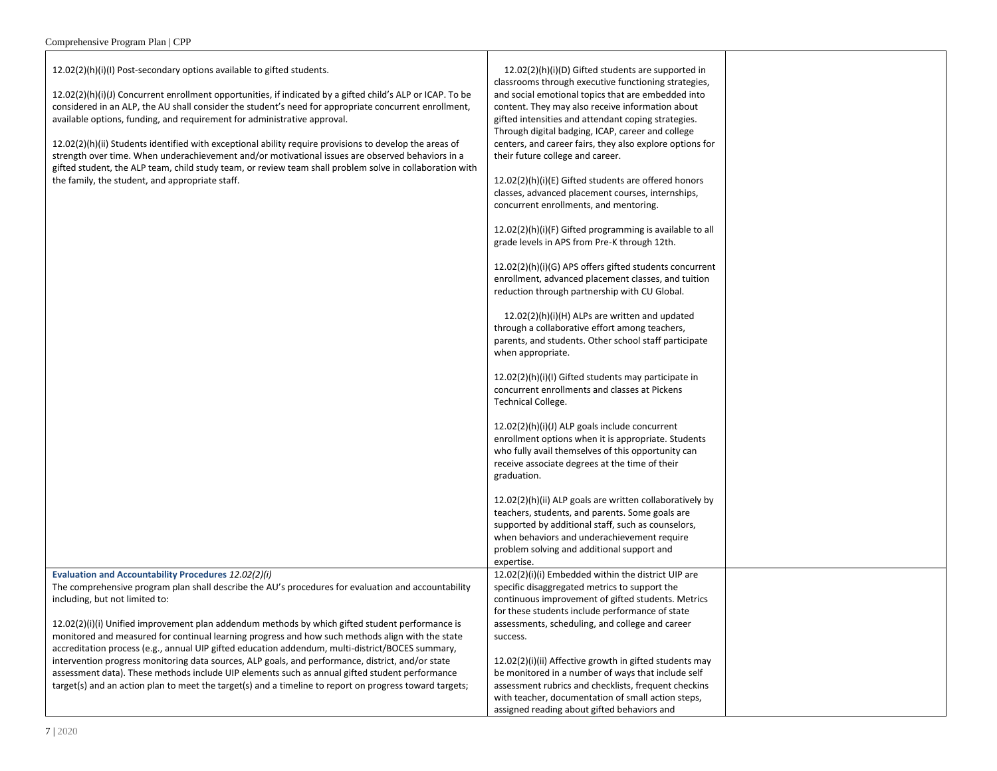12.02(2)(h)(i)(I) Post-secondary options available to gifted students.

**Evaluation and Accountability Procedures** *12.02(2)(i)*

including, but not limited to:

12.02(2)(h)(i)(J) Concurrent enrollment opportunities, if indicated by a gifted child's ALP or ICAP. To be considered in an ALP, the AU shall consider the student's need for appropriate concurrent enrollment, available options, funding, and requirement for administrative approval.

12.02(2)(h)(ii) Students identified with exceptional ability require provisions to develop the areas of strength over time. When underachievement and/or motivational issues are observed behaviors in a gifted student, the ALP team, child study team, or review team shall problem solve in collaboration with the family, the student, and appropriate staff.

accreditation process (e.g., annual UIP gifted education addendum, multi-district/BOCES summary, intervention progress monitoring data sources, ALP goals, and performance, district, and/or state assessment data). These methods include UIP elements such as annual gifted student performance target(s) and an action plan to meet the target(s) and a timeline to report on progress toward targets;

 12.02(2)(h)(i)(D) Gifted students are supported in classrooms through executive functioning strategies, and social emotional topics that are embedded into content. They may also receive information about gifted intensities and attendant coping strategies. Through digital badging, ICAP, career and college centers, and career fairs, they also explore options for their future college and career.

12.02(2)(h)(i)(E) Gifted students are offered honors classes, advanced placement courses, internships, concurrent enrollments, and mentoring.

12.02(2)(h)(i)(F) Gifted programming is available to all grade levels in APS from Pre-K through 12th.

12.02(2)(h)(i)(G) APS offers gifted students concurrent enrollment, advanced placement classes, and tuition reduction through partnership with CU Global.

 12.02(2)(h)(i)(H) ALPs are written and updated through a collaborative effort among teachers, parents, and students. Other school staff participate when appropriate.

12.02(2)(h)(i)(I) Gifted students may participate in concurrent enrollments and classes at Pickens Technical College.

12.02(2)(h)(i)(J) ALP goals include concurrent enrollment options when it is appropriate. Students who fully avail themselves of this opportunity can receive associate degrees at the time of their graduation.

12.02(2)(h)(ii) ALP goals are written collaboratively by teachers, students, and parents. Some goals are supported by additional staff, such as counselors, when behaviors and underachievement require problem solving and additional support and expertise. 12.02(2)(i)(i) Embedded within the district UIP are specific disaggregated metrics to support the

The comprehensive program plan shall describe the AU's procedures for evaluation and accountability 12.02(2)(i)(i) Unified improvement plan addendum methods by which gifted student performance is monitored and measured for continual learning progress and how such methods align with the state continuous improvement of gifted students. Metrics for these students include performance of state assessments, scheduling, and college and career success.

> 12.02(2)(i)(ii) Affective growth in gifted students may be monitored in a number of ways that include self assessment rubrics and checklists, frequent checkins with teacher, documentation of small action steps, assigned reading about gifted behaviors and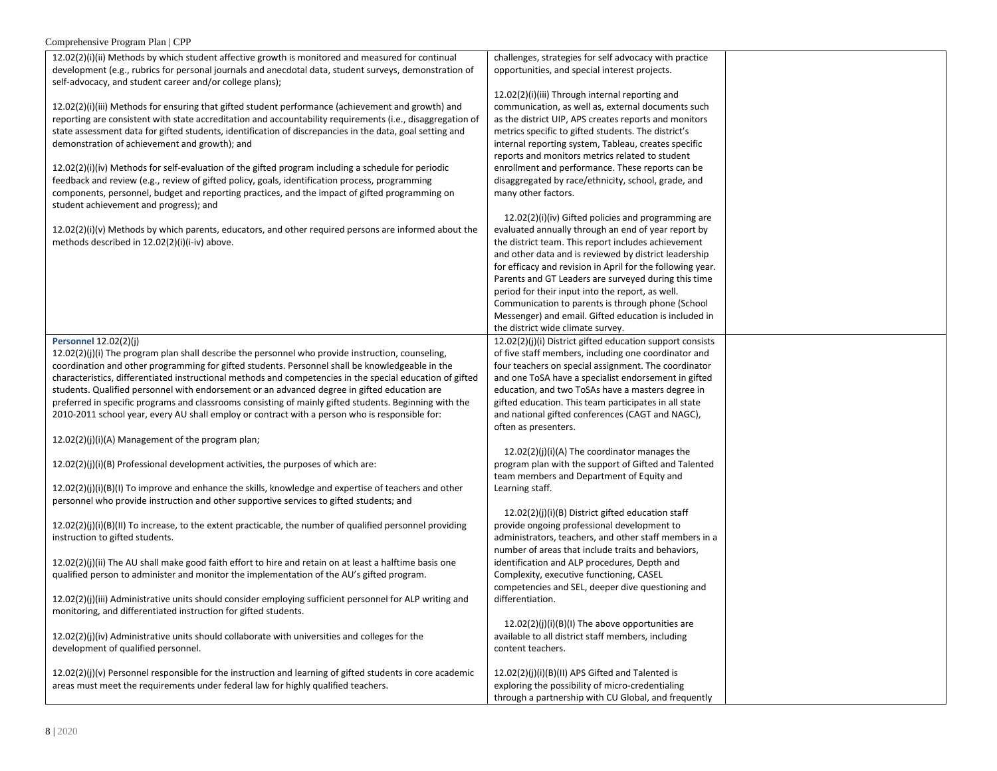| $12.02(2)(i)(ii)$ Methods by which student affective growth is monitored and measured for continual                                                                                              | challenges, strategies for self advocacy with practice                     |  |
|--------------------------------------------------------------------------------------------------------------------------------------------------------------------------------------------------|----------------------------------------------------------------------------|--|
| development (e.g., rubrics for personal journals and anecdotal data, student surveys, demonstration of                                                                                           | opportunities, and special interest projects.                              |  |
| self-advocacy, and student career and/or college plans);                                                                                                                                         |                                                                            |  |
|                                                                                                                                                                                                  | 12.02(2)(i)(iii) Through internal reporting and                            |  |
| 12.02(2)(i)(iii) Methods for ensuring that gifted student performance (achievement and growth) and                                                                                               | communication, as well as, external documents such                         |  |
| reporting are consistent with state accreditation and accountability requirements (i.e., disaggregation of                                                                                       | as the district UIP, APS creates reports and monitors                      |  |
| state assessment data for gifted students, identification of discrepancies in the data, goal setting and                                                                                         | metrics specific to gifted students. The district's                        |  |
| demonstration of achievement and growth); and                                                                                                                                                    | internal reporting system, Tableau, creates specific                       |  |
|                                                                                                                                                                                                  | reports and monitors metrics related to student                            |  |
| $12.02(2)(i)(iv)$ Methods for self-evaluation of the gifted program including a schedule for periodic                                                                                            | enrollment and performance. These reports can be                           |  |
| feedback and review (e.g., review of gifted policy, goals, identification process, programming<br>components, personnel, budget and reporting practices, and the impact of gifted programming on | disaggregated by race/ethnicity, school, grade, and<br>many other factors. |  |
| student achievement and progress); and                                                                                                                                                           |                                                                            |  |
|                                                                                                                                                                                                  | 12.02(2)(i)(iv) Gifted policies and programming are                        |  |
| $12.02(2)(i)(v)$ Methods by which parents, educators, and other required persons are informed about the                                                                                          | evaluated annually through an end of year report by                        |  |
| methods described in 12.02(2)(i)(i-iv) above.                                                                                                                                                    | the district team. This report includes achievement                        |  |
|                                                                                                                                                                                                  | and other data and is reviewed by district leadership                      |  |
|                                                                                                                                                                                                  | for efficacy and revision in April for the following year.                 |  |
|                                                                                                                                                                                                  | Parents and GT Leaders are surveyed during this time                       |  |
|                                                                                                                                                                                                  | period for their input into the report, as well.                           |  |
|                                                                                                                                                                                                  | Communication to parents is through phone (School                          |  |
|                                                                                                                                                                                                  | Messenger) and email. Gifted education is included in                      |  |
|                                                                                                                                                                                                  | the district wide climate survey.                                          |  |
| <b>Personnel 12.02(2)(j)</b>                                                                                                                                                                     | 12.02(2)(j)(i) District gifted education support consists                  |  |
| $12.02(2)(j)(i)$ The program plan shall describe the personnel who provide instruction, counseling,                                                                                              | of five staff members, including one coordinator and                       |  |
| coordination and other programming for gifted students. Personnel shall be knowledgeable in the                                                                                                  | four teachers on special assignment. The coordinator                       |  |
| characteristics, differentiated instructional methods and competencies in the special education of gifted                                                                                        | and one ToSA have a specialist endorsement in gifted                       |  |
| students. Qualified personnel with endorsement or an advanced degree in gifted education are                                                                                                     | education, and two ToSAs have a masters degree in                          |  |
| preferred in specific programs and classrooms consisting of mainly gifted students. Beginning with the                                                                                           | gifted education. This team participates in all state                      |  |
| 2010-2011 school year, every AU shall employ or contract with a person who is responsible for:                                                                                                   | and national gifted conferences (CAGT and NAGC),                           |  |
|                                                                                                                                                                                                  | often as presenters.                                                       |  |
| 12.02(2)(j)(i)(A) Management of the program plan;                                                                                                                                                |                                                                            |  |
|                                                                                                                                                                                                  | 12.02(2)(j)(i)(A) The coordinator manages the                              |  |
| 12.02(2)(j)(i)(B) Professional development activities, the purposes of which are:                                                                                                                | program plan with the support of Gifted and Talented                       |  |
| $12.02(2)(j)(i)(B)(l)$ To improve and enhance the skills, knowledge and expertise of teachers and other                                                                                          | team members and Department of Equity and<br>Learning staff.               |  |
| personnel who provide instruction and other supportive services to gifted students; and                                                                                                          |                                                                            |  |
|                                                                                                                                                                                                  | 12.02(2)(j)(i)(B) District gifted education staff                          |  |
| $12.02(2)(j)(i)(B)(II)$ To increase, to the extent practicable, the number of qualified personnel providing                                                                                      | provide ongoing professional development to                                |  |
| instruction to gifted students.                                                                                                                                                                  | administrators, teachers, and other staff members in a                     |  |
|                                                                                                                                                                                                  | number of areas that include traits and behaviors,                         |  |
| 12.02(2)(j)(ii) The AU shall make good faith effort to hire and retain on at least a halftime basis one                                                                                          | identification and ALP procedures, Depth and                               |  |
| qualified person to administer and monitor the implementation of the AU's gifted program.                                                                                                        | Complexity, executive functioning, CASEL                                   |  |
|                                                                                                                                                                                                  | competencies and SEL, deeper dive questioning and                          |  |
| $12.02(2)(j)(iii)$ Administrative units should consider employing sufficient personnel for ALP writing and                                                                                       | differentiation.                                                           |  |
| monitoring, and differentiated instruction for gifted students.                                                                                                                                  |                                                                            |  |
|                                                                                                                                                                                                  | $12.02(2)(j)(i)(B)(l)$ The above opportunities are                         |  |
| $12.02(2)(j)(iv)$ Administrative units should collaborate with universities and colleges for the                                                                                                 | available to all district staff members, including                         |  |
| development of qualified personnel.                                                                                                                                                              | content teachers.                                                          |  |
|                                                                                                                                                                                                  |                                                                            |  |
| $12.02(2)(j)(v)$ Personnel responsible for the instruction and learning of gifted students in core academic                                                                                      | 12.02(2)(j)(i)(B)(II) APS Gifted and Talented is                           |  |
| areas must meet the requirements under federal law for highly qualified teachers.                                                                                                                | exploring the possibility of micro-credentialing                           |  |
|                                                                                                                                                                                                  | through a partnership with CU Global, and frequently                       |  |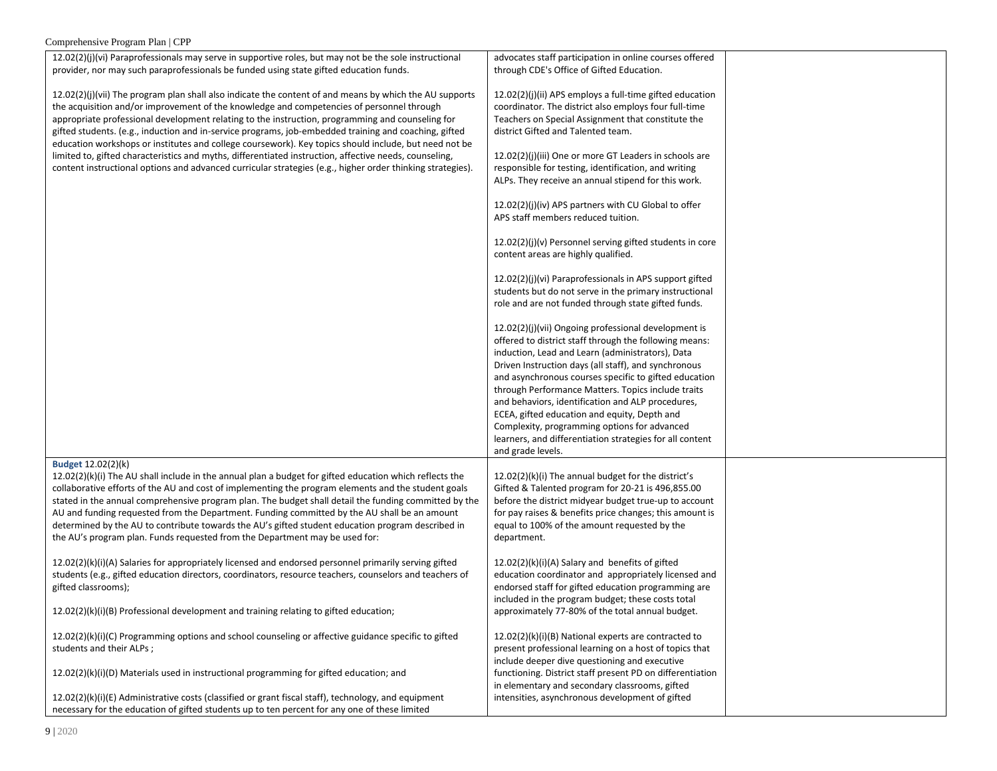| $\epsilon$ . The statement of $\epsilon$ is a sequence of $\epsilon$ is a sequence of $\epsilon$                                                                                                                                                                                                                                                                                                                                                                                                                                                                                                                                           |                                                                                                                                                                                                                                                                                                                                                                                                |  |
|--------------------------------------------------------------------------------------------------------------------------------------------------------------------------------------------------------------------------------------------------------------------------------------------------------------------------------------------------------------------------------------------------------------------------------------------------------------------------------------------------------------------------------------------------------------------------------------------------------------------------------------------|------------------------------------------------------------------------------------------------------------------------------------------------------------------------------------------------------------------------------------------------------------------------------------------------------------------------------------------------------------------------------------------------|--|
| 12.02(2)(j)(vi) Paraprofessionals may serve in supportive roles, but may not be the sole instructional<br>provider, nor may such paraprofessionals be funded using state gifted education funds.                                                                                                                                                                                                                                                                                                                                                                                                                                           | advocates staff participation in online courses offered<br>through CDE's Office of Gifted Education.                                                                                                                                                                                                                                                                                           |  |
| $12.02(2)(j)(vi)$ The program plan shall also indicate the content of and means by which the AU supports<br>the acquisition and/or improvement of the knowledge and competencies of personnel through<br>appropriate professional development relating to the instruction, programming and counseling for<br>gifted students. (e.g., induction and in-service programs, job-embedded training and coaching, gifted<br>education workshops or institutes and college coursework). Key topics should include, but need not be                                                                                                                | $12.02(2)(j)(ii)$ APS employs a full-time gifted education<br>coordinator. The district also employs four full-time<br>Teachers on Special Assignment that constitute the<br>district Gifted and Talented team.                                                                                                                                                                                |  |
| limited to, gifted characteristics and myths, differentiated instruction, affective needs, counseling,<br>content instructional options and advanced curricular strategies (e.g., higher order thinking strategies).                                                                                                                                                                                                                                                                                                                                                                                                                       | 12.02(2)(j)(iii) One or more GT Leaders in schools are<br>responsible for testing, identification, and writing<br>ALPs. They receive an annual stipend for this work.                                                                                                                                                                                                                          |  |
|                                                                                                                                                                                                                                                                                                                                                                                                                                                                                                                                                                                                                                            | 12.02(2)(j)(iv) APS partners with CU Global to offer<br>APS staff members reduced tuition.                                                                                                                                                                                                                                                                                                     |  |
|                                                                                                                                                                                                                                                                                                                                                                                                                                                                                                                                                                                                                                            | $12.02(2)(j)(v)$ Personnel serving gifted students in core<br>content areas are highly qualified.                                                                                                                                                                                                                                                                                              |  |
|                                                                                                                                                                                                                                                                                                                                                                                                                                                                                                                                                                                                                                            | 12.02(2)(j)(vi) Paraprofessionals in APS support gifted<br>students but do not serve in the primary instructional<br>role and are not funded through state gifted funds.                                                                                                                                                                                                                       |  |
|                                                                                                                                                                                                                                                                                                                                                                                                                                                                                                                                                                                                                                            | 12.02(2)(j)(vii) Ongoing professional development is<br>offered to district staff through the following means:<br>induction, Lead and Learn (administrators), Data<br>Driven Instruction days (all staff), and synchronous<br>and asynchronous courses specific to gifted education<br>through Performance Matters. Topics include traits<br>and behaviors, identification and ALP procedures, |  |
|                                                                                                                                                                                                                                                                                                                                                                                                                                                                                                                                                                                                                                            | ECEA, gifted education and equity, Depth and<br>Complexity, programming options for advanced<br>learners, and differentiation strategies for all content<br>and grade levels.                                                                                                                                                                                                                  |  |
| <b>Budget 12.02(2)(k)</b><br>$12.02(2)(k)(i)$ The AU shall include in the annual plan a budget for gifted education which reflects the<br>collaborative efforts of the AU and cost of implementing the program elements and the student goals<br>stated in the annual comprehensive program plan. The budget shall detail the funding committed by the<br>AU and funding requested from the Department. Funding committed by the AU shall be an amount<br>determined by the AU to contribute towards the AU's gifted student education program described in<br>the AU's program plan. Funds requested from the Department may be used for: | 12.02(2)(k)(i) The annual budget for the district's<br>Gifted & Talented program for 20-21 is 496,855.00<br>before the district midyear budget true-up to account<br>for pay raises & benefits price changes; this amount is<br>equal to 100% of the amount requested by the<br>department.                                                                                                    |  |
| 12.02(2)(k)(i)(A) Salaries for appropriately licensed and endorsed personnel primarily serving gifted<br>students (e.g., gifted education directors, coordinators, resource teachers, counselors and teachers of<br>gifted classrooms);                                                                                                                                                                                                                                                                                                                                                                                                    | 12.02(2)(k)(i)(A) Salary and benefits of gifted<br>education coordinator and appropriately licensed and<br>endorsed staff for gifted education programming are<br>included in the program budget; these costs total                                                                                                                                                                            |  |
| $12.02(2)(k)(i)(B)$ Professional development and training relating to gifted education;                                                                                                                                                                                                                                                                                                                                                                                                                                                                                                                                                    | approximately 77-80% of the total annual budget.                                                                                                                                                                                                                                                                                                                                               |  |
| 12.02(2)(k)(i)(C) Programming options and school counseling or affective guidance specific to gifted<br>students and their ALPs;                                                                                                                                                                                                                                                                                                                                                                                                                                                                                                           | 12.02(2)(k)(i)(B) National experts are contracted to<br>present professional learning on a host of topics that<br>include deeper dive questioning and executive                                                                                                                                                                                                                                |  |
| $12.02(2)(k)(i)(D)$ Materials used in instructional programming for gifted education; and                                                                                                                                                                                                                                                                                                                                                                                                                                                                                                                                                  | functioning. District staff present PD on differentiation<br>in elementary and secondary classrooms, gifted                                                                                                                                                                                                                                                                                    |  |
| 12.02(2)(k)(i)(E) Administrative costs (classified or grant fiscal staff), technology, and equipment<br>necessary for the education of gifted students up to ten percent for any one of these limited                                                                                                                                                                                                                                                                                                                                                                                                                                      | intensities, asynchronous development of gifted                                                                                                                                                                                                                                                                                                                                                |  |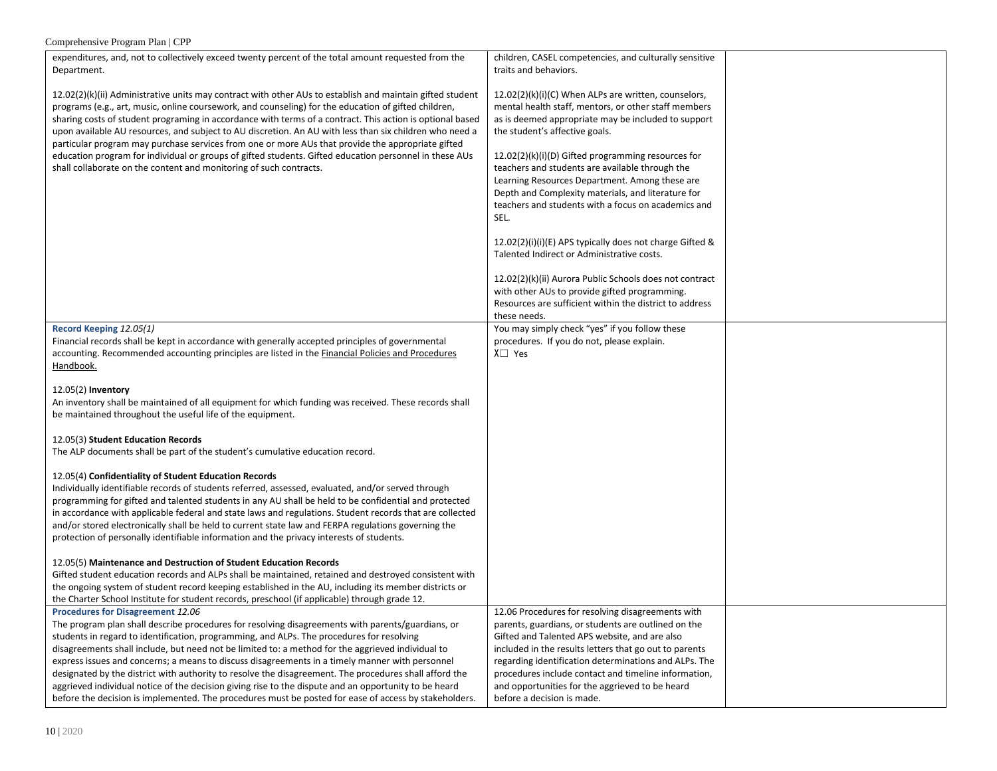| Comprehensive Program Plan   CPP                                                                                                                                                                                                                                                                                                                                                                                                                                                                                                                                                                                                                                                                                                                                                                                                                     |                                                                                                                                                                                                                                                                                                                                                                                                                                                                                                                                                                                                                                                                                      |  |
|------------------------------------------------------------------------------------------------------------------------------------------------------------------------------------------------------------------------------------------------------------------------------------------------------------------------------------------------------------------------------------------------------------------------------------------------------------------------------------------------------------------------------------------------------------------------------------------------------------------------------------------------------------------------------------------------------------------------------------------------------------------------------------------------------------------------------------------------------|--------------------------------------------------------------------------------------------------------------------------------------------------------------------------------------------------------------------------------------------------------------------------------------------------------------------------------------------------------------------------------------------------------------------------------------------------------------------------------------------------------------------------------------------------------------------------------------------------------------------------------------------------------------------------------------|--|
| expenditures, and, not to collectively exceed twenty percent of the total amount requested from the<br>Department.<br>12.02(2)(k)(ii) Administrative units may contract with other AUs to establish and maintain gifted student<br>programs (e.g., art, music, online coursework, and counseling) for the education of gifted children,<br>sharing costs of student programing in accordance with terms of a contract. This action is optional based<br>upon available AU resources, and subject to AU discretion. An AU with less than six children who need a<br>particular program may purchase services from one or more AUs that provide the appropriate gifted<br>education program for individual or groups of gifted students. Gifted education personnel in these AUs<br>shall collaborate on the content and monitoring of such contracts. | children, CASEL competencies, and culturally sensitive<br>traits and behaviors.<br>12.02(2)(k)(i)(C) When ALPs are written, counselors,<br>mental health staff, mentors, or other staff members<br>as is deemed appropriate may be included to support<br>the student's affective goals.<br>12.02(2)(k)(i)(D) Gifted programming resources for<br>teachers and students are available through the<br>Learning Resources Department. Among these are<br>Depth and Complexity materials, and literature for<br>teachers and students with a focus on academics and<br>SEL.<br>$12.02(2)(i)(i)(E)$ APS typically does not charge Gifted &<br>Talented Indirect or Administrative costs. |  |
|                                                                                                                                                                                                                                                                                                                                                                                                                                                                                                                                                                                                                                                                                                                                                                                                                                                      | 12.02(2)(k)(ii) Aurora Public Schools does not contract<br>with other AUs to provide gifted programming.<br>Resources are sufficient within the district to address<br>these needs.                                                                                                                                                                                                                                                                                                                                                                                                                                                                                                  |  |
| Record Keeping 12.05(1)<br>Financial records shall be kept in accordance with generally accepted principles of governmental<br>accounting. Recommended accounting principles are listed in the Financial Policies and Procedures<br>Handbook.                                                                                                                                                                                                                                                                                                                                                                                                                                                                                                                                                                                                        | You may simply check "yes" if you follow these<br>procedures. If you do not, please explain.<br>$X \square$ Yes                                                                                                                                                                                                                                                                                                                                                                                                                                                                                                                                                                      |  |
| $12.05(2)$ Inventory<br>An inventory shall be maintained of all equipment for which funding was received. These records shall<br>be maintained throughout the useful life of the equipment.                                                                                                                                                                                                                                                                                                                                                                                                                                                                                                                                                                                                                                                          |                                                                                                                                                                                                                                                                                                                                                                                                                                                                                                                                                                                                                                                                                      |  |
| 12.05(3) Student Education Records<br>The ALP documents shall be part of the student's cumulative education record.                                                                                                                                                                                                                                                                                                                                                                                                                                                                                                                                                                                                                                                                                                                                  |                                                                                                                                                                                                                                                                                                                                                                                                                                                                                                                                                                                                                                                                                      |  |
| 12.05(4) Confidentiality of Student Education Records<br>Individually identifiable records of students referred, assessed, evaluated, and/or served through<br>programming for gifted and talented students in any AU shall be held to be confidential and protected<br>in accordance with applicable federal and state laws and regulations. Student records that are collected<br>and/or stored electronically shall be held to current state law and FERPA regulations governing the<br>protection of personally identifiable information and the privacy interests of students.                                                                                                                                                                                                                                                                  |                                                                                                                                                                                                                                                                                                                                                                                                                                                                                                                                                                                                                                                                                      |  |
| 12.05(5) Maintenance and Destruction of Student Education Records<br>Gifted student education records and ALPs shall be maintained, retained and destroyed consistent with<br>the ongoing system of student record keeping established in the AU, including its member districts or<br>the Charter School Institute for student records, preschool (if applicable) through grade 12.                                                                                                                                                                                                                                                                                                                                                                                                                                                                 |                                                                                                                                                                                                                                                                                                                                                                                                                                                                                                                                                                                                                                                                                      |  |
| Procedures for Disagreement 12.06<br>The program plan shall describe procedures for resolving disagreements with parents/guardians, or<br>students in regard to identification, programming, and ALPs. The procedures for resolving<br>disagreements shall include, but need not be limited to: a method for the aggrieved individual to<br>express issues and concerns; a means to discuss disagreements in a timely manner with personnel<br>designated by the district with authority to resolve the disagreement. The procedures shall afford the<br>aggrieved individual notice of the decision giving rise to the dispute and an opportunity to be heard<br>before the decision is implemented. The procedures must be posted for ease of access by stakeholders.                                                                              | 12.06 Procedures for resolving disagreements with<br>parents, guardians, or students are outlined on the<br>Gifted and Talented APS website, and are also<br>included in the results letters that go out to parents<br>regarding identification determinations and ALPs. The<br>procedures include contact and timeline information,<br>and opportunities for the aggrieved to be heard<br>before a decision is made.                                                                                                                                                                                                                                                                |  |